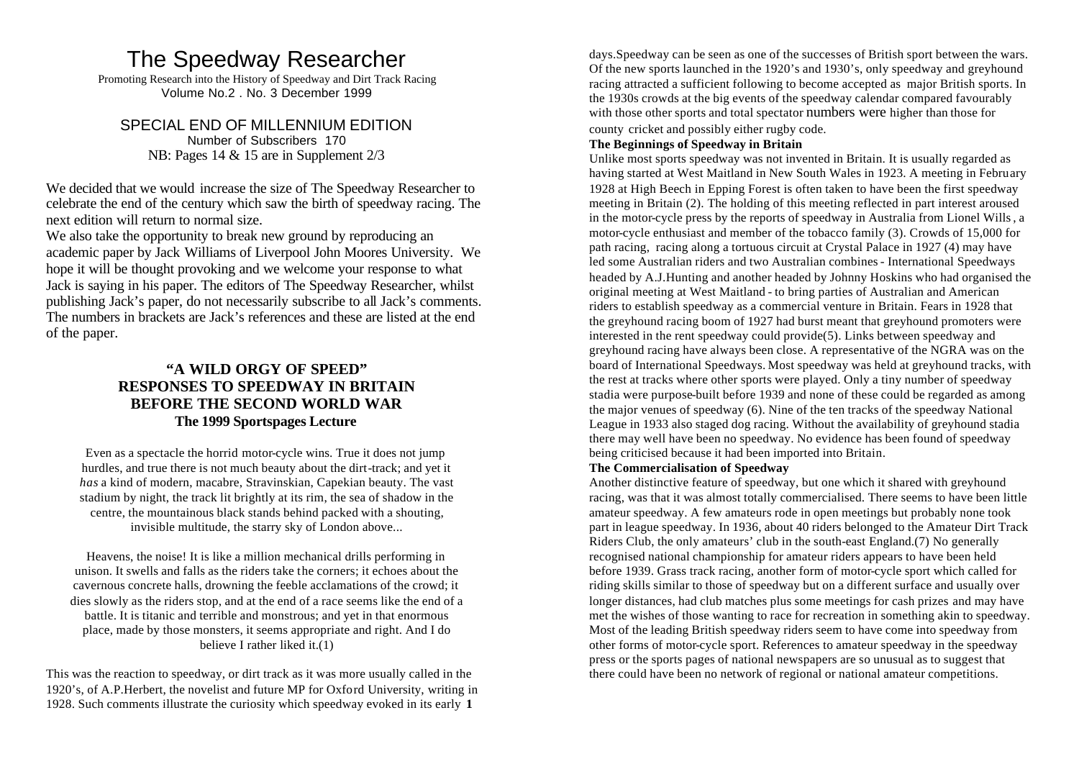# The Speedway Researcher

Promoting Research into the History of Speedway and Dirt Track Racing Volume No.2 . No. 3 December 1999

SPECIAL END OF MILLENNIUM EDITION Number of Subscribers 170 NB: Pages 14 & 15 are in Supplement 2/3

We decided that we would increase the size of The Speedway Researcher to celebrate the end of the century which saw the birth of speedway racing. The next edition will return to normal size.

We also take the opportunity to break new ground by reproducing an academic paper by Jack Williams of Liverpool John Moores University. We hope it will be thought provoking and we welcome your response to what Jack is saying in his paper. The editors of The Speedway Researcher, whilst publishing Jack's paper, do not necessarily subscribe to all Jack's comments. The numbers in brackets are Jack's references and these are listed at the end of the paper.

## **"A WILD ORGY OF SPEED" RESPONSES TO SPEEDWAY IN BRITAIN BEFORE THE SECOND WORLD WAR The 1999 Sportspages Lecture**

Even as a spectacle the horrid motor-cycle wins. True it does not jump hurdles, and true there is not much beauty about the dirt-track; and yet it *has* a kind of modern, macabre, Stravinskian, Capekian beauty. The vast stadium by night, the track lit brightly at its rim, the sea of shadow in the centre, the mountainous black stands behind packed with a shouting, invisible multitude, the starry sky of London above...

Heavens, the noise! It is like a million mechanical drills performing in unison. It swells and falls as the riders take the corners; it echoes about the cavernous concrete halls, drowning the feeble acclamations of the crowd; it dies slowly as the riders stop, and at the end of a race seems like the end of a battle. It is titanic and terrible and monstrous; and yet in that enormous place, made by those monsters, it seems appropriate and right. And I do believe I rather liked it.(1)

This was the reaction to speedway, or dirt track as it was more usually called in the 1920's, of A.P.Herbert, the novelist and future MP for Oxford University, writing in 1928. Such comments illustrate the curiosity which speedway evoked in its early **1**

days.Speedway can be seen as one of the successes of British sport between the wars. Of the new sports launched in the 1920's and 1930's, only speedway and greyhound racing attracted a sufficient following to become accepted as major British sports. In the 1930s crowds at the big events of the speedway calendar compared favourably with those other sports and total spectator numbers were higher than those for county cricket and possibly either rugby code.

#### **The Beginnings of Speedway in Britain**

Unlike most sports speedway was not invented in Britain. It is usually regarded as having started at West Maitland in New South Wales in 1923. A meeting in February 1928 at High Beech in Epping Forest is often taken to have been the first speedway meeting in Britain (2). The holding of this meeting reflected in part interest aroused in the motor-cycle press by the reports of speedway in Australia from Lionel Wills, a motor-cycle enthusiast and member of the tobacco family (3). Crowds of 15,000 for path racing, racing along a tortuous circuit at Crystal Palace in 1927 (4) may have led some Australian riders and two Australian combines - International Speedways headed by A.J.Hunting and another headed by Johnny Hoskins who had organised the original meeting at West Maitland - to bring parties of Australian and American riders to establish speedway as a commercial venture in Britain. Fears in 1928 that the greyhound racing boom of 1927 had burst meant that greyhound promoters were interested in the rent speedway could provide(5). Links between speedway and greyhound racing have always been close. A representative of the NGRA was on the board of International Speedways. Most speedway was held at greyhound tracks, with the rest at tracks where other sports were played. Only a tiny number of speedway stadia were purpose-built before 1939 and none of these could be regarded as among the major venues of speedway (6). Nine of the ten tracks of the speedway National League in 1933 also staged dog racing. Without the availability of greyhound stadia there may well have been no speedway. No evidence has been found of speedway being criticised because it had been imported into Britain.

#### **The Commercialisation of Speedway**

Another distinctive feature of speedway, but one which it shared with greyhound racing, was that it was almost totally commercialised. There seems to have been little amateur speedway. A few amateurs rode in open meetings but probably none took part in league speedway. In 1936, about 40 riders belonged to the Amateur Dirt Track Riders Club, the only amateurs' club in the south-east England.(7) No generally recognised national championship for amateur riders appears to have been held before 1939. Grass track racing, another form of motor-cycle sport which called for riding skills similar to those of speedway but on a different surface and usually over longer distances, had club matches plus some meetings for cash prizes and may have met the wishes of those wanting to race for recreation in something akin to speedway. Most of the leading British speedway riders seem to have come into speedway from other forms of motor-cycle sport. References to amateur speedway in the speedway press or the sports pages of national newspapers are so unusual as to suggest that there could have been no network of regional or national amateur competitions.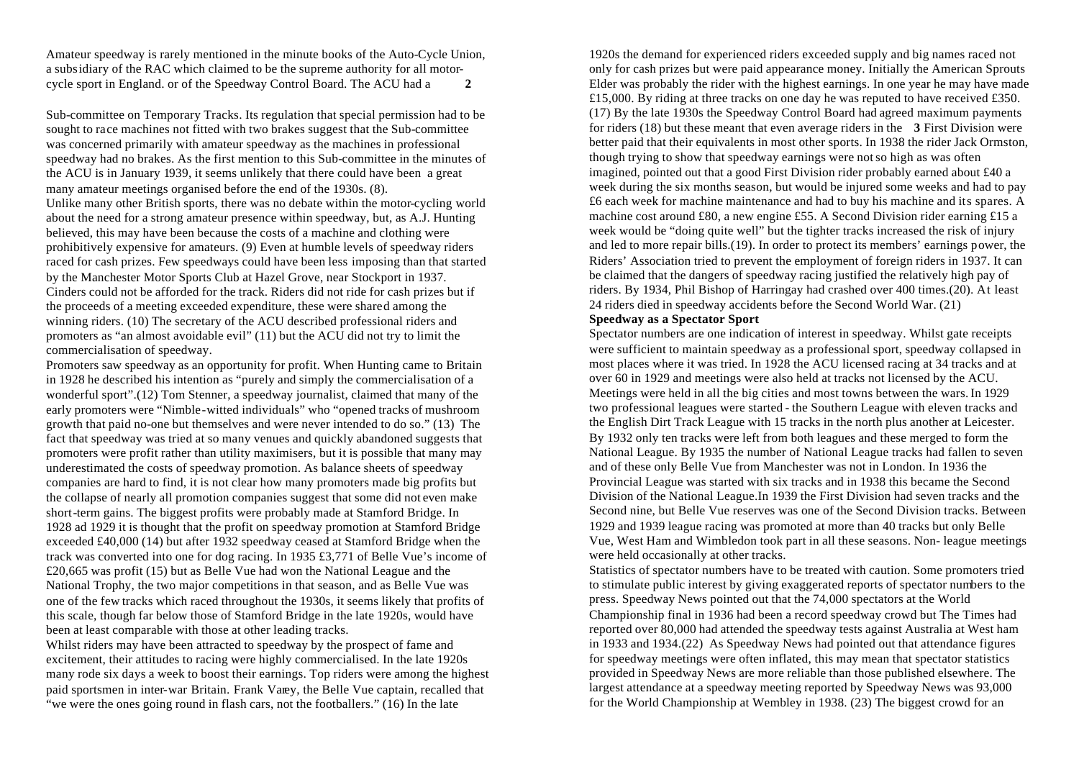Amateur speedway is rarely mentioned in the minute books of the Auto-Cycle Union, a subsidiary of the RAC which claimed to be the supreme authority for all motorcycle sport in England. or of the Speedway Control Board. The ACU had a **2**

Sub-committee on Temporary Tracks. Its regulation that special permission had to be sought to race machines not fitted with two brakes suggest that the Sub-committee was concerned primarily with amateur speedway as the machines in professional speedway had no brakes. As the first mention to this Sub-committee in the minutes of the ACU is in January 1939, it seems unlikely that there could have been a great many amateur meetings organised before the end of the 1930s. (8). Unlike many other British sports, there was no debate within the motor-cycling world about the need for a strong amateur presence within speedway, but, as A.J. Hunting believed, this may have been because the costs of a machine and clothing were prohibitively expensive for amateurs. (9) Even at humble levels of speedway riders raced for cash prizes. Few speedways could have been less imposing than that started by the Manchester Motor Sports Club at Hazel Grove, near Stockport in 1937. Cinders could not be afforded for the track. Riders did not ride for cash prizes but if the proceeds of a meeting exceeded expenditure, these were shared among the winning riders. (10) The secretary of the ACU described professional riders and promoters as "an almost avoidable evil" (11) but the ACU did not try to limit the commercialisation of speedway.

Promoters saw speedway as an opportunity for profit. When Hunting came to Britain in 1928 he described his intention as "purely and simply the commercialisation of a wonderful sport".(12) Tom Stenner, a speedway journalist, claimed that many of the early promoters were "Nimble-witted individuals" who "opened tracks of mushroom growth that paid no-one but themselves and were never intended to do so." (13) The fact that speedway was tried at so many venues and quickly abandoned suggests that promoters were profit rather than utility maximisers, but it is possible that many may underestimated the costs of speedway promotion. As balance sheets of speedway companies are hard to find, it is not clear how many promoters made big profits but the collapse of nearly all promotion companies suggest that some did not even make short-term gains. The biggest profits were probably made at Stamford Bridge. In 1928 ad 1929 it is thought that the profit on speedway promotion at Stamford Bridge exceeded £40,000 (14) but after 1932 speedway ceased at Stamford Bridge when the track was converted into one for dog racing. In 1935 £3,771 of Belle Vue's income of £20,665 was profit (15) but as Belle Vue had won the National League and the National Trophy, the two major competitions in that season, and as Belle Vue was one of the few tracks which raced throughout the 1930s, it seems likely that profits of this scale, though far below those of Stamford Bridge in the late 1920s, would have been at least comparable with those at other leading tracks.

Whilst riders may have been attracted to speedway by the prospect of fame and excitement, their attitudes to racing were highly commercialised. In the late 1920s many rode six days a week to boost their earnings. Top riders were among the highest paid sportsmen in inter-war Britain. Frank Varey, the Belle Vue captain, recalled that "we were the ones going round in flash cars, not the footballers." (16) In the late

1920s the demand for experienced riders exceeded supply and big names raced not only for cash prizes but were paid appearance money. Initially the American Sprouts Elder was probably the rider with the highest earnings. In one year he may have made £15,000. By riding at three tracks on one day he was reputed to have received £350. (17) By the late 1930s the Speedway Control Board had agreed maximum payments for riders (18) but these meant that even average riders in the **3** First Division were better paid that their equivalents in most other sports. In 1938 the rider Jack Ormston, though trying to show that speedway earnings were not so high as was often imagined, pointed out that a good First Division rider probably earned about £40 a week during the six months season, but would be injured some weeks and had to pay £6 each week for machine maintenance and had to buy his machine and its spares. A machine cost around £80, a new engine £55. A Second Division rider earning £15 a week would be "doing quite well" but the tighter tracks increased the risk of injury and led to more repair bills.(19). In order to protect its members' earnings power, the Riders' Association tried to prevent the employment of foreign riders in 1937. It can be claimed that the dangers of speedway racing justified the relatively high pay of riders. By 1934, Phil Bishop of Harringay had crashed over 400 times.(20). At least 24 riders died in speedway accidents before the Second World War. (21)

#### **Speedway as a Spectator Sport**

Spectator numbers are one indication of interest in speedway. Whilst gate receipts were sufficient to maintain speedway as a professional sport, speedway collapsed in most places where it was tried. In 1928 the ACU licensed racing at 34 tracks and at over 60 in 1929 and meetings were also held at tracks not licensed by the ACU. Meetings were held in all the big cities and most towns between the wars. In 1929 two professional leagues were started - the Southern League with eleven tracks and the English Dirt Track League with 15 tracks in the north plus another at Leicester. By 1932 only ten tracks were left from both leagues and these merged to form the National League. By 1935 the number of National League tracks had fallen to seven and of these only Belle Vue from Manchester was not in London. In 1936 the Provincial League was started with six tracks and in 1938 this became the Second Division of the National League.In 1939 the First Division had seven tracks and the Second nine, but Belle Vue reserves was one of the Second Division tracks. Between 1929 and 1939 league racing was promoted at more than 40 tracks but only Belle Vue, West Ham and Wimbledon took part in all these seasons. Non- league meetings were held occasionally at other tracks.

Statistics of spectator numbers have to be treated with caution. Some promoters tried to stimulate public interest by giving exaggerated reports of spectator numbers to the press. Speedway News pointed out that the 74,000 spectators at the World Championship final in 1936 had been a record speedway crowd but The Times had reported over 80,000 had attended the speedway tests against Australia at West ham in 1933 and 1934.(22) As Speedway News had pointed out that attendance figures for speedway meetings were often inflated, this may mean that spectator statistics provided in Speedway News are more reliable than those published elsewhere. The largest attendance at a speedway meeting reported by Speedway News was 93,000 for the World Championship at Wembley in 1938. (23) The biggest crowd for an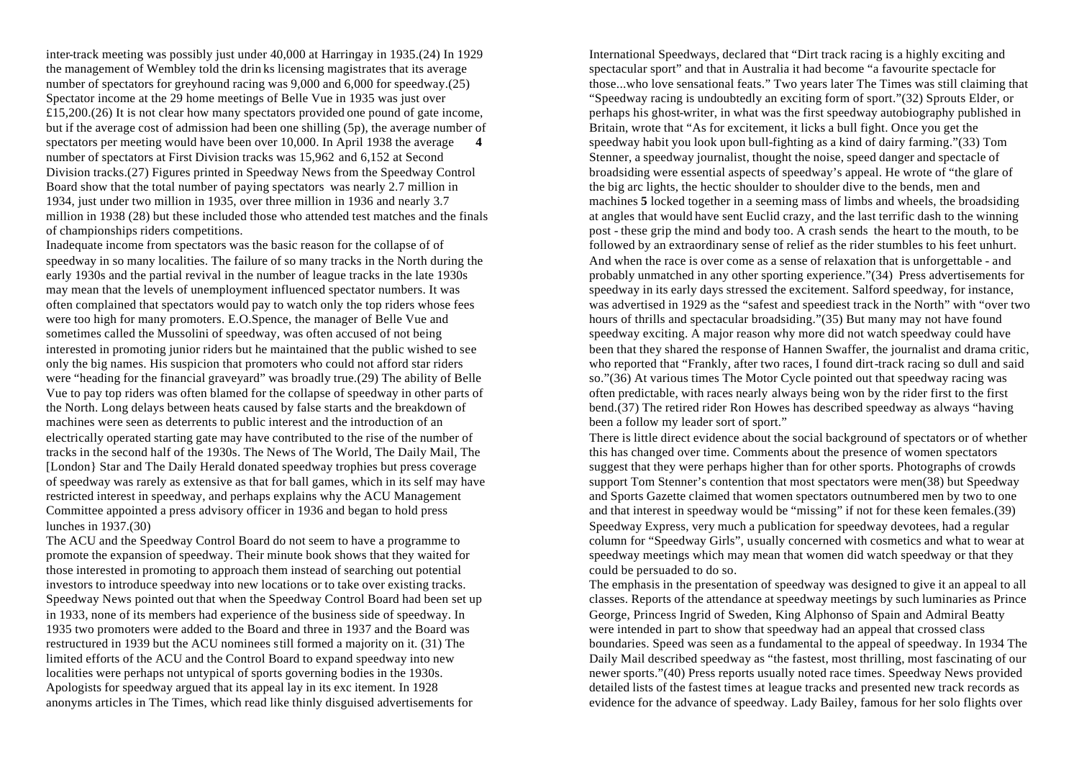inter-track meeting was possibly just under 40,000 at Harringay in 1935.(24) In 1929 the management of Wembley told the drin ks licensing magistrates that its average number of spectators for greyhound racing was 9,000 and 6,000 for speedway.(25) Spectator income at the 29 home meetings of Belle Vue in 1935 was just over  $£15,200.(26)$  It is not clear how many spectators provided one pound of gate income, but if the average cost of admission had been one shilling (5p), the average number of spectators per meeting would have been over 10,000. In April 1938 the average number of spectators at First Division tracks was 15,962 and 6,152 at Second Division tracks.(27) Figures printed in Speedway News from the Speedway Control Board show that the total number of paying spectators was nearly 2.7 million in 1934, just under two million in 1935, over three million in 1936 and nearly 3.7 million in 1938 (28) but these included those who attended test matches and the finals of championships riders competitions.

Inadequate income from spectators was the basic reason for the collapse of of speedway in so many localities. The failure of so many tracks in the North during the early 1930s and the partial revival in the number of league tracks in the late 1930s may mean that the levels of unemployment influenced spectator numbers. It was often complained that spectators would pay to watch only the top riders whose fees were too high for many promoters. E.O.Spence, the manager of Belle Vue and sometimes called the Mussolini of speedway, was often accused of not being interested in promoting junior riders but he maintained that the public wished to see only the big names. His suspicion that promoters who could not afford star riders were "heading for the financial graveyard" was broadly true.(29) The ability of Belle Vue to pay top riders was often blamed for the collapse of speedway in other parts of the North. Long delays between heats caused by false starts and the breakdown of machines were seen as deterrents to public interest and the introduction of an electrically operated starting gate may have contributed to the rise of the number of tracks in the second half of the 1930s. The News of The World, The Daily Mail, The [London} Star and The Daily Herald donated speedway trophies but press coverage of speedway was rarely as extensive as that for ball games, which in its self may have restricted interest in speedway, and perhaps explains why the ACU Management Committee appointed a press advisory officer in 1936 and began to hold press lunches in 1937.(30)

The ACU and the Speedway Control Board do not seem to have a programme to promote the expansion of speedway. Their minute book shows that they waited for those interested in promoting to approach them instead of searching out potential investors to introduce speedway into new locations or to take over existing tracks. Speedway News pointed out that when the Speedway Control Board had been set up in 1933, none of its members had experience of the business side of speedway. In 1935 two promoters were added to the Board and three in 1937 and the Board was restructured in 1939 but the ACU nominees still formed a majority on it. (31) The limited efforts of the ACU and the Control Board to expand speedway into new localities were perhaps not untypical of sports governing bodies in the 1930s. Apologists for speedway argued that its appeal lay in its exc itement. In 1928 anonyms articles in The Times, which read like thinly disguised advertisements for

International Speedways, declared that "Dirt track racing is a highly exciting and spectacular sport" and that in Australia it had become "a favourite spectacle for those...who love sensational feats." Two years later The Times was still claiming that "Speedway racing is undoubtedly an exciting form of sport."(32) Sprouts Elder, or perhaps his ghost-writer, in what was the first speedway autobiography published in Britain, wrote that "As for excitement, it licks a bull fight. Once you get the speedway habit you look upon bull-fighting as a kind of dairy farming."(33) Tom Stenner, a speedway journalist, thought the noise, speed danger and spectacle of broadsiding were essential aspects of speedway's appeal. He wrote of "the glare of the big arc lights, the hectic shoulder to shoulder dive to the bends, men and machines **5** locked together in a seeming mass of limbs and wheels, the broadsiding at angles that would have sent Euclid crazy, and the last terrific dash to the winning post - these grip the mind and body too. A crash sends the heart to the mouth, to be followed by an extraordinary sense of relief as the rider stumbles to his feet unhurt. And when the race is over come as a sense of relaxation that is unforgettable - and probably unmatched in any other sporting experience."(34) Press advertisements for speedway in its early days stressed the excitement. Salford speedway, for instance, was advertised in 1929 as the "safest and speediest track in the North" with "over two hours of thrills and spectacular broadsiding."(35) But many may not have found speedway exciting. A major reason why more did not watch speedway could have been that they shared the response of Hannen Swaffer, the journalist and drama critic, who reported that "Frankly, after two races, I found dirt-track racing so dull and said so."(36) At various times The Motor Cycle pointed out that speedway racing was often predictable, with races nearly always being won by the rider first to the first bend.(37) The retired rider Ron Howes has described speedway as always "having been a follow my leader sort of sport."

There is little direct evidence about the social background of spectators or of whether this has changed over time. Comments about the presence of women spectators suggest that they were perhaps higher than for other sports. Photographs of crowds support Tom Stenner's contention that most spectators were men(38) but Speedway and Sports Gazette claimed that women spectators outnumbered men by two to one and that interest in speedway would be "missing" if not for these keen females.(39) Speedway Express, very much a publication for speedway devotees, had a regular column for "Speedway Girls", usually concerned with cosmetics and what to wear at speedway meetings which may mean that women did watch speedway or that they could be persuaded to do so.

The emphasis in the presentation of speedway was designed to give it an appeal to all classes. Reports of the attendance at speedway meetings by such luminaries as Prince George, Princess Ingrid of Sweden, King Alphonso of Spain and Admiral Beatty were intended in part to show that speedway had an appeal that crossed class boundaries. Speed was seen as a fundamental to the appeal of speedway. In 1934 The Daily Mail described speedway as "the fastest, most thrilling, most fascinating of our newer sports."(40) Press reports usually noted race times. Speedway News provided detailed lists of the fastest times at league tracks and presented new track records as evidence for the advance of speedway. Lady Bailey, famous for her solo flights over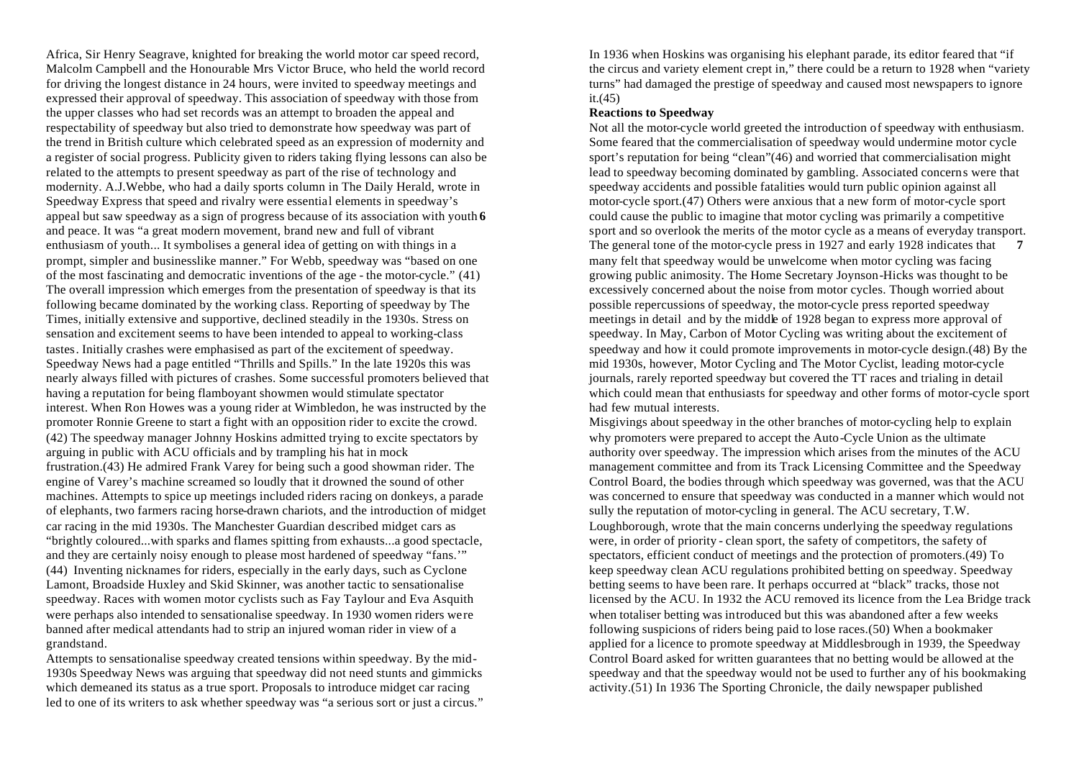Africa, Sir Henry Seagrave, knighted for breaking the world motor car speed record, Malcolm Campbell and the Honourable Mrs Victor Bruce, who held the world record for driving the longest distance in 24 hours, were invited to speedway meetings and expressed their approval of speedway. This association of speedway with those from the upper classes who had set records was an attempt to broaden the appeal and respectability of speedway but also tried to demonstrate how speedway was part of the trend in British culture which celebrated speed as an expression of modernity and a register of social progress. Publicity given to riders taking flying lessons can also be related to the attempts to present speedway as part of the rise of technology and modernity. A.J.Webbe, who had a daily sports column in The Daily Herald, wrote in Speedway Express that speed and rivalry were essential elements in speedway's appeal but saw speedway as a sign of progress because of its association with youth **6** and peace. It was "a great modern movement, brand new and full of vibrant enthusiasm of youth... It symbolises a general idea of getting on with things in a prompt, simpler and businesslike manner." For Webb, speedway was "based on one of the most fascinating and democratic inventions of the age - the motor-cycle." (41) The overall impression which emerges from the presentation of speedway is that its following became dominated by the working class. Reporting of speedway by The Times, initially extensive and supportive, declined steadily in the 1930s. Stress on sensation and excitement seems to have been intended to appeal to working-class tastes. Initially crashes were emphasised as part of the excitement of speedway. Speedway News had a page entitled "Thrills and Spills." In the late 1920s this was nearly always filled with pictures of crashes. Some successful promoters believed that having a reputation for being flamboyant showmen would stimulate spectator interest. When Ron Howes was a young rider at Wimbledon, he was instructed by the promoter Ronnie Greene to start a fight with an opposition rider to excite the crowd. (42) The speedway manager Johnny Hoskins admitted trying to excite spectators by arguing in public with ACU officials and by trampling his hat in mock frustration.(43) He admired Frank Varey for being such a good showman rider. The engine of Varey's machine screamed so loudly that it drowned the sound of other machines. Attempts to spice up meetings included riders racing on donkeys, a parade of elephants, two farmers racing horse-drawn chariots, and the introduction of midget car racing in the mid 1930s. The Manchester Guardian described midget cars as "brightly coloured...with sparks and flames spitting from exhausts...a good spectacle, and they are certainly noisy enough to please most hardened of speedway "fans.'" (44) Inventing nicknames for riders, especially in the early days, such as Cyclone Lamont, Broadside Huxley and Skid Skinner, was another tactic to sensationalise speedway. Races with women motor cyclists such as Fay Taylour and Eva Asquith were perhaps also intended to sensationalise speedway. In 1930 women riders were banned after medical attendants had to strip an injured woman rider in view of a grandstand.

Attempts to sensationalise speedway created tensions within speedway. By the mid-1930s Speedway News was arguing that speedway did not need stunts and gimmicks which demeaned its status as a true sport. Proposals to introduce midget car racing led to one of its writers to ask whether speedway was "a serious sort or just a circus." In 1936 when Hoskins was organising his elephant parade, its editor feared that "if the circus and variety element crept in," there could be a return to 1928 when "variety turns" had damaged the prestige of speedway and caused most newspapers to ignore  $it.(45)$ 

#### **Reactions to Speedway**

Not all the motor-cycle world greeted the introduction of speedway with enthusiasm. Some feared that the commercialisation of speedway would undermine motor cycle sport's reputation for being "clean"(46) and worried that commercialisation might lead to speedway becoming dominated by gambling. Associated concerns were that speedway accidents and possible fatalities would turn public opinion against all motor-cycle sport.(47) Others were anxious that a new form of motor-cycle sport could cause the public to imagine that motor cycling was primarily a competitive sport and so overlook the merits of the motor cycle as a means of everyday transport. The general tone of the motor-cycle press in 1927 and early 1928 indicates that **7** many felt that speedway would be unwelcome when motor cycling was facing growing public animosity. The Home Secretary Joynson-Hicks was thought to be excessively concerned about the noise from motor cycles. Though worried about possible repercussions of speedway, the motor-cycle press reported speedway meetings in detail and by the middle of 1928 began to express more approval of speedway. In May, Carbon of Motor Cycling was writing about the excitement of speedway and how it could promote improvements in motor-cycle design.(48) By the mid 1930s, however, Motor Cycling and The Motor Cyclist, leading motor-cycle journals, rarely reported speedway but covered the TT races and trialing in detail which could mean that enthusiasts for speedway and other forms of motor-cycle sport had few mutual interests.

Misgivings about speedway in the other branches of motor-cycling help to explain why promoters were prepared to accept the Auto-Cycle Union as the ultimate authority over speedway. The impression which arises from the minutes of the ACU management committee and from its Track Licensing Committee and the Speedway Control Board, the bodies through which speedway was governed, was that the ACU was concerned to ensure that speedway was conducted in a manner which would not sully the reputation of motor-cycling in general. The ACU secretary, T.W. Loughborough, wrote that the main concerns underlying the speedway regulations were, in order of priority - clean sport, the safety of competitors, the safety of spectators, efficient conduct of meetings and the protection of promoters.(49) To keep speedway clean ACU regulations prohibited betting on speedway. Speedway betting seems to have been rare. It perhaps occurred at "black" tracks, those not licensed by the ACU. In 1932 the ACU removed its licence from the Lea Bridge track when totaliser betting was introduced but this was abandoned after a few weeks following suspicions of riders being paid to lose races.(50) When a bookmaker applied for a licence to promote speedway at Middlesbrough in 1939, the Speedway Control Board asked for written guarantees that no betting would be allowed at the speedway and that the speedway would not be used to further any of his bookmaking activity.(51) In 1936 The Sporting Chronicle, the daily newspaper published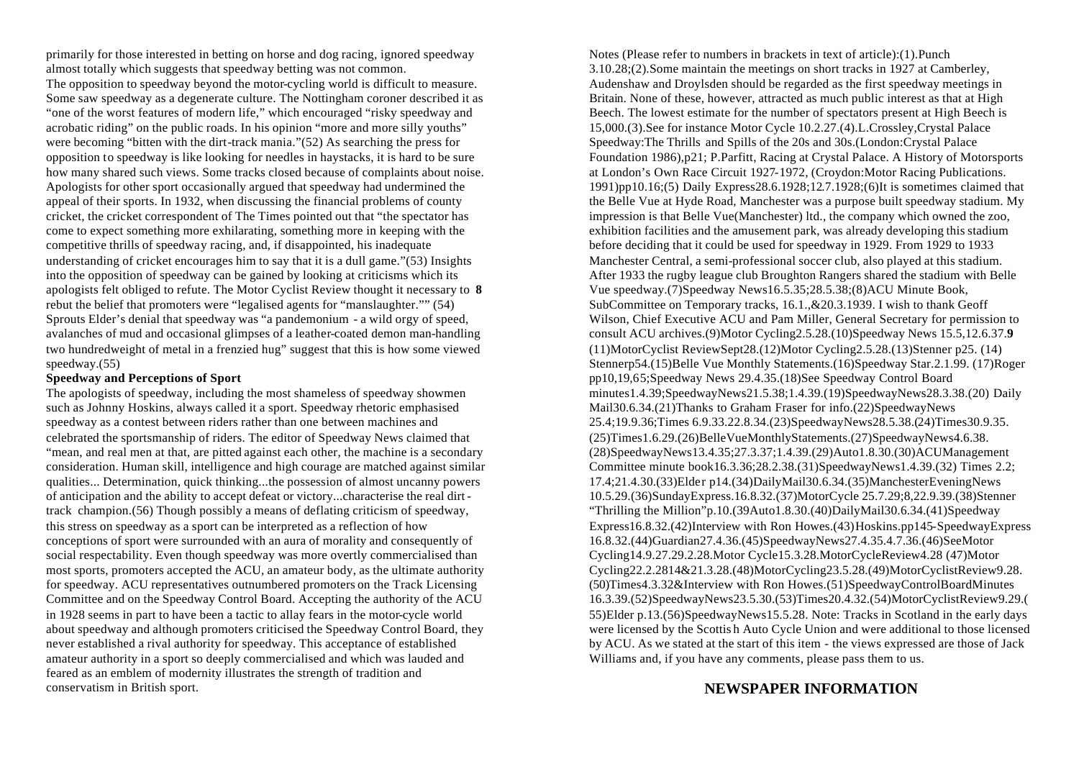primarily for those interested in betting on horse and dog racing, ignored speedway almost totally which suggests that speedway betting was not common. The opposition to speedway beyond the motor-cycling world is difficult to measure. Some saw speedway as a degenerate culture. The Nottingham coroner described it as "one of the worst features of modern life," which encouraged "risky speedway and acrobatic riding" on the public roads. In his opinion "more and more silly youths" were becoming "bitten with the dirt-track mania."(52) As searching the press for opposition to speedway is like looking for needles in haystacks, it is hard to be sure how many shared such views. Some tracks closed because of complaints about noise. Apologists for other sport occasionally argued that speedway had undermined the appeal of their sports. In 1932, when discussing the financial problems of county cricket, the cricket correspondent of The Times pointed out that "the spectator has come to expect something more exhilarating, something more in keeping with the competitive thrills of speedway racing, and, if disappointed, his inadequate understanding of cricket encourages him to say that it is a dull game."(53) Insights into the opposition of speedway can be gained by looking at criticisms which its apologists felt obliged to refute. The Motor Cyclist Review thought it necessary to **8** rebut the belief that promoters were "legalised agents for "manslaughter."" (54) Sprouts Elder's denial that speedway was "a pandemonium - a wild orgy of speed, avalanches of mud and occasional glimpses of a leather-coated demon man-handling two hundredweight of metal in a frenzied hug" suggest that this is how some viewed speedway.(55)

#### **Speedway and Perceptions of Sport**

The apologists of speedway, including the most shameless of speedway showmen such as Johnny Hoskins, always called it a sport. Speedway rhetoric emphasised speedway as a contest between riders rather than one between machines and celebrated the sportsmanship of riders. The editor of Speedway News claimed that "mean, and real men at that, are pitted against each other, the machine is a secondary consideration. Human skill, intelligence and high courage are matched against similar qualities... Determination, quick thinking...the possession of almost uncanny powers of anticipation and the ability to accept defeat or victory...characterise the real dirttrack champion.(56) Though possibly a means of deflating criticism of speedway, this stress on speedway as a sport can be interpreted as a reflection of how conceptions of sport were surrounded with an aura of morality and consequently of social respectability. Even though speedway was more overtly commercialised than most sports, promoters accepted the ACU, an amateur body, as the ultimate authority for speedway. ACU representatives outnumbered promoters on the Track Licensing Committee and on the Speedway Control Board. Accepting the authority of the ACU in 1928 seems in part to have been a tactic to allay fears in the motor-cycle world about speedway and although promoters criticised the Speedway Control Board, they never established a rival authority for speedway. This acceptance of established amateur authority in a sport so deeply commercialised and which was lauded and feared as an emblem of modernity illustrates the strength of tradition and conservatism in British sport.

Notes (Please refer to numbers in brackets in text of article):(1).Punch 3.10.28;(2).Some maintain the meetings on short tracks in 1927 at Camberley, Audenshaw and Droylsden should be regarded as the first speedway meetings in Britain. None of these, however, attracted as much public interest as that at High Beech. The lowest estimate for the number of spectators present at High Beech is 15,000.(3).See for instance Motor Cycle 10.2.27.(4).L.Crossley,Crystal Palace Speedway:The Thrills and Spills of the 20s and 30s.(London:Crystal Palace Foundation 1986),p21; P.Parfitt, Racing at Crystal Palace. A History of Motorsports at London's Own Race Circuit 1927-1972, (Croydon:Motor Racing Publications. 1991)pp10.16;(5) Daily Express28.6.1928;12.7.1928;(6)It is sometimes claimed that the Belle Vue at Hyde Road, Manchester was a purpose built speedway stadium. My impression is that Belle Vue(Manchester) ltd., the company which owned the zoo, exhibition facilities and the amusement park, was already developing this stadium before deciding that it could be used for speedway in 1929. From 1929 to 1933 Manchester Central, a semi-professional soccer club, also played at this stadium. After 1933 the rugby league club Broughton Rangers shared the stadium with Belle Vue speedway.(7)Speedway News16.5.35;28.5.38;(8)ACU Minute Book, SubCommittee on Temporary tracks, 16.1.,&20.3.1939. I wish to thank Geoff Wilson, Chief Executive ACU and Pam Miller, General Secretary for permission to consult ACU archives.(9)Motor Cycling2.5.28.(10)Speedway News 15.5,12.6.37.**9** (11)MotorCyclist ReviewSept28.(12)Motor Cycling2.5.28.(13)Stenner p25. (14) Stennerp54.(15)Belle Vue Monthly Statements.(16)Speedway Star.2.1.99. (17)Roger pp10,19,65;Speedway News 29.4.35.(18)See Speedway Control Board minutes1.4.39;SpeedwayNews21.5.38;1.4.39.(19)SpeedwayNews28.3.38.(20) Daily Mail30.6.34.(21)Thanks to Graham Fraser for info.(22)SpeedwayNews 25.4;19.9.36;Times 6.9.33.22.8.34.(23)SpeedwayNews28.5.38.(24)Times30.9.35. (25)Times1.6.29.(26)BelleVueMonthlyStatements.(27)SpeedwayNews4.6.38. (28)SpeedwayNews13.4.35;27.3.37;1.4.39.(29)Auto1.8.30.(30)ACUManagement Committee minute book16.3.36;28.2.38.(31)SpeedwayNews1.4.39.(32) Times 2.2; 17.4;21.4.30.(33)Elder p14.(34)DailyMail30.6.34.(35)ManchesterEveningNews 10.5.29.(36)SundayExpress.16.8.32.(37)MotorCycle 25.7.29;8,22.9.39.(38)Stenner "Thrilling the Million"p.10.(39Auto1.8.30.(40)DailyMail30.6.34.(41)Speedway Express16.8.32.(42)Interview with Ron Howes.(43)Hoskins.pp145-SpeedwayExpress 16.8.32.(44)Guardian27.4.36.(45)SpeedwayNews27.4.35.4.7.36.(46)SeeMotor Cycling14.9.27.29.2.28.Motor Cycle15.3.28.MotorCycleReview4.28 (47)Motor Cycling22.2.2814&21.3.28.(48)MotorCycling23.5.28.(49)MotorCyclistReview9.28. (50)Times4.3.32&Interview with Ron Howes.(51)SpeedwayControlBoardMinutes 16.3.39.(52)SpeedwayNews23.5.30.(53)Times20.4.32.(54)MotorCyclistReview9.29.( 55)Elder p.13.(56)SpeedwayNews15.5.28. Note: Tracks in Scotland in the early days were licensed by the Scottis h Auto Cycle Union and were additional to those licensed by ACU. As we stated at the start of this item - the views expressed are those of Jack Williams and, if you have any comments, please pass them to us.

#### **NEWSPAPER INFORMATION**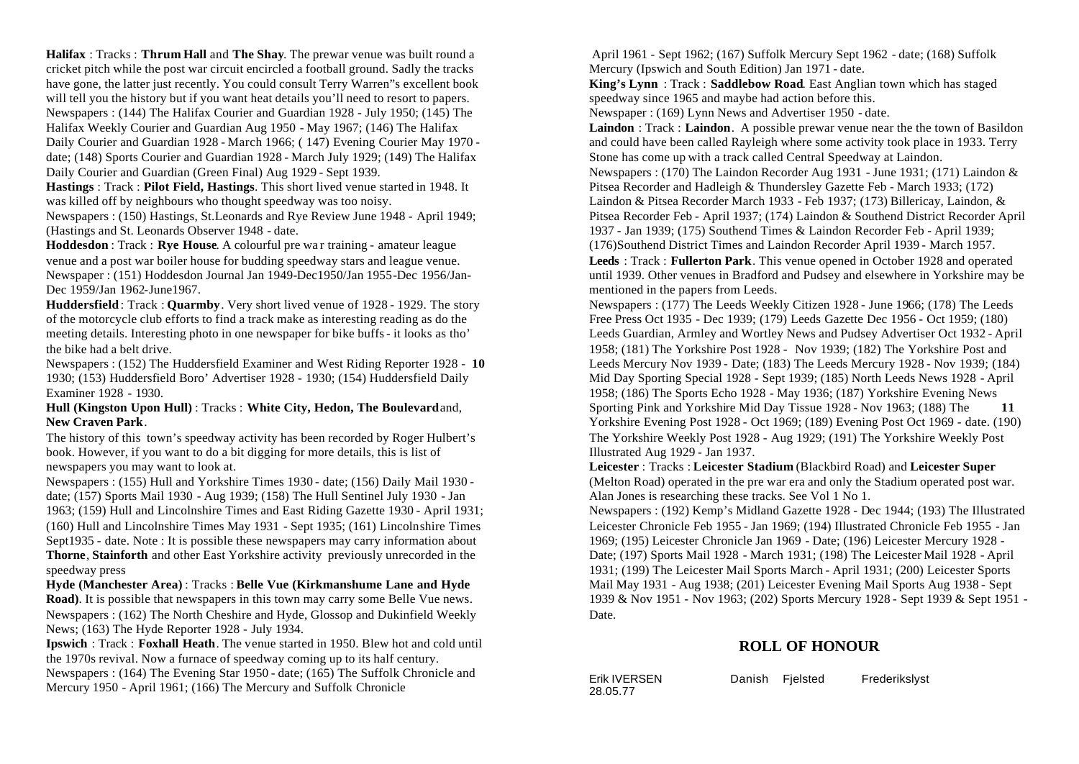**Halifax** : Tracks : **Thrum Hall** and **The Shay**. The prewar venue was built round a cricket pitch while the post war circuit encircled a football ground. Sadly the tracks have gone, the latter just recently. You could consult Terry Warren"s excellent book will tell you the history but if you want heat details you'll need to resort to papers. Newspapers : (144) The Halifax Courier and Guardian 1928 - July 1950; (145) The Halifax Weekly Courier and Guardian Aug 1950 - May 1967; (146) The Halifax Daily Courier and Guardian 1928 - March 1966; ( 147) Evening Courier May 1970 date; (148) Sports Courier and Guardian 1928 - March July 1929; (149) The Halifax

Daily Courier and Guardian (Green Final) Aug 1929 - Sept 1939.

**Hastings** : Track : **Pilot Field, Hastings**. This short lived venue started in 1948. It was killed off by neighbours who thought speedway was too noisy.

Newspapers : (150) Hastings, St.Leonards and Rye Review June 1948 - April 1949; (Hastings and St. Leonards Observer 1948 - date.

**Hoddesdon** : Track : **Rye House**. A colourful pre war training - amateur league venue and a post war boiler house for budding speedway stars and league venue. Newspaper : (151) Hoddesdon Journal Jan 1949-Dec1950/Jan 1955-Dec 1956/Jan-Dec 1959/Jan 1962-June1967.

**Huddersfield** : Track : **Quarmby**. Very short lived venue of 1928 - 1929. The story of the motorcycle club efforts to find a track make as interesting reading as do the meeting details. Interesting photo in one newspaper for bike buffs - it looks as tho' the bike had a belt drive.

Newspapers : (152) The Huddersfield Examiner and West Riding Reporter 1928 - **10** 1930; (153) Huddersfield Boro' Advertiser 1928 - 1930; (154) Huddersfield Daily Examiner 1928 - 1930.

#### **Hull (Kingston Upon Hull)** : Tracks : **White City, Hedon, The Boulevard** and, **New Craven Park**.

The history of this town's speedway activity has been recorded by Roger Hulbert's book. However, if you want to do a bit digging for more details, this is list of newspapers you may want to look at.

Newspapers : (155) Hull and Yorkshire Times 1930 - date; (156) Daily Mail 1930 date; (157) Sports Mail 1930 - Aug 1939; (158) The Hull Sentinel July 1930 - Jan 1963; (159) Hull and Lincolnshire Times and East Riding Gazette 1930 - April 1931; (160) Hull and Lincolnshire Times May 1931 - Sept 1935; (161) Lincolnshire Times Sept1935 - date. Note : It is possible these newspapers may carry information about **Thorne**, **Stainforth** and other East Yorkshire activity previously unrecorded in the speedway press

**Hyde (Manchester Area)** : Tracks : **Belle Vue (Kirkmanshume Lane and Hyde Road)**. It is possible that newspapers in this town may carry some Belle Vue news. Newspapers : (162) The North Cheshire and Hyde, Glossop and Dukinfield Weekly News; (163) The Hyde Reporter 1928 - July 1934.

**Ipswich** : Track : **Foxhall Heath**. The venue started in 1950. Blew hot and cold until the 1970s revival. Now a furnace of speedway coming up to its half century. Newspapers : (164) The Evening Star 1950 - date; (165) The Suffolk Chronicle and Mercury 1950 - April 1961; (166) The Mercury and Suffolk Chronicle

 April 1961 - Sept 1962; (167) Suffolk Mercury Sept 1962 - date; (168) Suffolk Mercury (Ipswich and South Edition) Jan 1971 - date.

**King's Lynn** : Track : **Saddlebow Road**. East Anglian town which has staged speedway since 1965 and maybe had action before this.

Newspaper : (169) Lynn News and Advertiser 1950 - date.

**Laindon** : Track : **Laindon**. A possible prewar venue near the the town of Basildon and could have been called Rayleigh where some activity took place in 1933. Terry Stone has come up with a track called Central Speedway at Laindon. Newspapers : (170) The Laindon Recorder Aug 1931 - June 1931; (171) Laindon & Pitsea Recorder and Hadleigh & Thundersley Gazette Feb - March 1933; (172)

Laindon & Pitsea Recorder March 1933 - Feb 1937; (173) Billericay, Laindon, & Pitsea Recorder Feb - April 1937; (174) Laindon & Southend District Recorder April 1937 - Jan 1939; (175) Southend Times & Laindon Recorder Feb - April 1939; (176)Southend District Times and Laindon Recorder April 1939 - March 1957.

**Leeds** : Track : **Fullerton Park**. This venue opened in October 1928 and operated until 1939. Other venues in Bradford and Pudsey and elsewhere in Yorkshire may be mentioned in the papers from Leeds.

Newspapers : (177) The Leeds Weekly Citizen 1928 - June 1966; (178) The Leeds Free Press Oct 1935 - Dec 1939; (179) Leeds Gazette Dec 1956 - Oct 1959; (180) Leeds Guardian, Armley and Wortley News and Pudsey Advertiser Oct 1932 - April 1958; (181) The Yorkshire Post 1928 - Nov 1939; (182) The Yorkshire Post and Leeds Mercury Nov 1939 - Date; (183) The Leeds Mercury 1928 - Nov 1939; (184) Mid Day Sporting Special 1928 - Sept 1939; (185) North Leeds News 1928 - April 1958; (186) The Sports Echo 1928 - May 1936; (187) Yorkshire Evening News Sporting Pink and Yorkshire Mid Day Tissue 1928 - Nov 1963; (188) The **11**  Yorkshire Evening Post 1928 - Oct 1969; (189) Evening Post Oct 1969 - date. (190) The Yorkshire Weekly Post 1928 - Aug 1929; (191) The Yorkshire Weekly Post Illustrated Aug 1929 - Jan 1937.

**Leicester** : Tracks : **Leicester Stadium** (Blackbird Road) and **Leicester Super** (Melton Road) operated in the pre war era and only the Stadium operated post war. Alan Jones is researching these tracks. See Vol 1 No 1.

Newspapers : (192) Kemp's Midland Gazette 1928 - Dec 1944; (193) The Illustrated Leicester Chronicle Feb 1955 - Jan 1969; (194) Illustrated Chronicle Feb 1955 - Jan 1969; (195) Leicester Chronicle Jan 1969 - Date; (196) Leicester Mercury 1928 - Date; (197) Sports Mail 1928 - March 1931; (198) The Leicester Mail 1928 - April 1931; (199) The Leicester Mail Sports March - April 1931; (200) Leicester Sports Mail May 1931 - Aug 1938; (201) Leicester Evening Mail Sports Aug 1938 - Sept 1939 & Nov 1951 - Nov 1963; (202) Sports Mercury 1928 - Sept 1939 & Sept 1951 - Date.

### **ROLL OF HONOUR**

28.05.77

Erik IVERSEN Danish Fjelsted Frederikslyst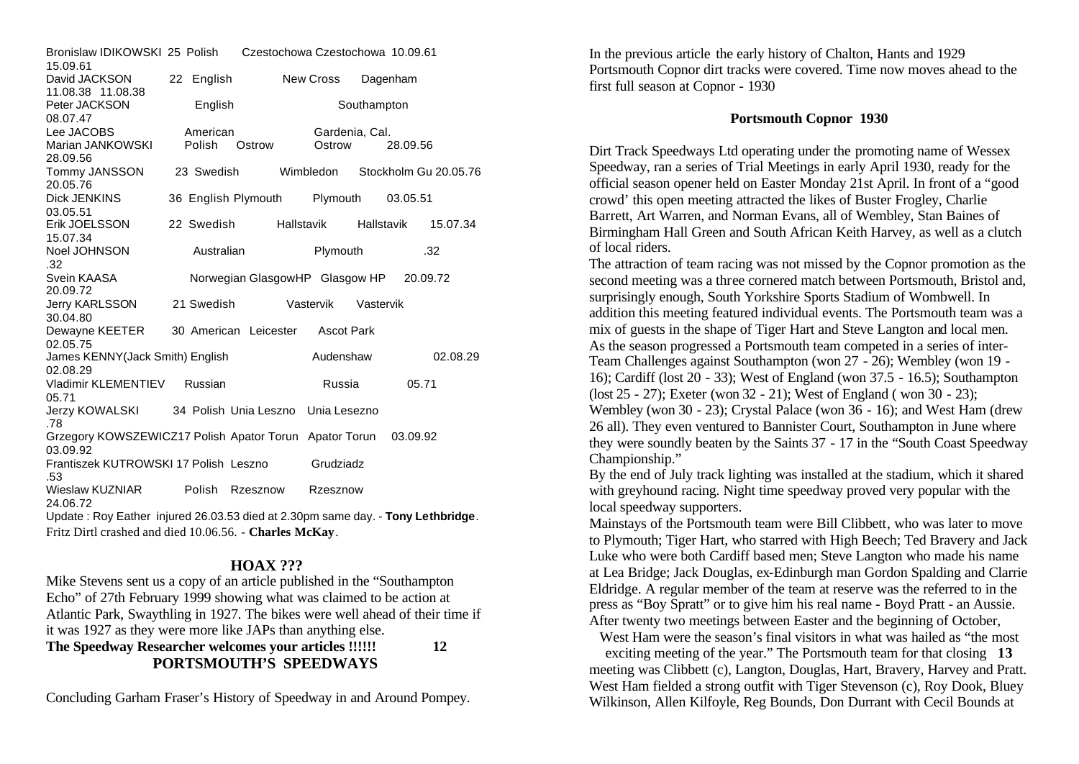| Bronislaw IDIKOWSKI 25 Polish<br>15.09.61                                       |                    |                                         | Czestochowa Czestochowa 10.09.61 |             |          |                       |  |
|---------------------------------------------------------------------------------|--------------------|-----------------------------------------|----------------------------------|-------------|----------|-----------------------|--|
| David JACKSON<br>11.08.38 11.08.38                                              | 22 English         |                                         | New Cross                        |             | Dagenham |                       |  |
| Peter JACKSON<br>08.07.47                                                       | English            |                                         |                                  | Southampton |          |                       |  |
| Lee JACOBS<br>Marian JANKOWSKI<br>28.09.56                                      | American<br>Polish | Ostrow                                  | Gardenia, Cal.<br>Ostrow         |             | 28.09.56 |                       |  |
| Tommy JANSSON<br>20.05.76                                                       | 23 Swedish         |                                         | Wimbledon                        |             |          | Stockholm Gu 20.05.76 |  |
| <b>Dick JENKINS</b><br>03.05.51                                                 |                    | 36 English Plymouth                     | Plymouth                         |             | 03.05.51 |                       |  |
| Erik JOELSSON<br>15.07.34                                                       | 22 Swedish         |                                         | Hallstavik                       | Hallstavik  |          | 15.07.34              |  |
| Noel JOHNSON<br>.32                                                             | Australian         |                                         | Plymouth                         |             |          | .32                   |  |
| Svein KAASA<br>20.09.72                                                         |                    | Norwegian GlasgowHP Glasgow HP 20.09.72 |                                  |             |          |                       |  |
| <b>Jerry KARLSSON</b><br>30.04.80                                               | 21 Swedish         |                                         | Vastervik                        | Vastervik   |          |                       |  |
| Dewayne KEETER<br>02.05.75                                                      |                    | 30 American Leicester Ascot Park        |                                  |             |          |                       |  |
| James KENNY(Jack Smith) English<br>02.08.29                                     |                    |                                         | Audenshaw                        |             |          | 02.08.29              |  |
| Vladimir KLEMENTIEV<br>05.71                                                    | Russian            |                                         | Russia                           |             | 05.71    |                       |  |
| Jerzy KOWALSKI<br>.78                                                           |                    | 34 Polish Unia Leszno                   | Unia Lesezno                     |             |          |                       |  |
| Grzegory KOWSZEWICZ17 Polish Apator Torun Apator Torun<br>03.09.92              |                    |                                         |                                  |             | 03.09.92 |                       |  |
| Frantiszek KUTROWSKI 17 Polish Leszno<br>.53                                    |                    |                                         | Grudziadz                        |             |          |                       |  |
| Wieslaw KUZNIAR<br>24.06.72                                                     | Polish             | Rzesznow                                | Rzesznow                         |             |          |                       |  |
| Update: Roy Eather injured 26.03.53 died at 2.30pm same day. - Tony Lethbridge. |                    |                                         |                                  |             |          |                       |  |
| Fritz Dirtl crashed and died 10.06.56. - Charles McKay.                         |                    |                                         |                                  |             |          |                       |  |

#### **HOAX ???**

Mike Stevens sent us a copy of an article published in the "Southampton Echo" of 27th February 1999 showing what was claimed to be action at Atlantic Park, Swaythling in 1927. The bikes were well ahead of their time if it was 1927 as they were more like JAPs than anything else.

**The Speedway Researcher welcomes your articles !!!!!! 12 PORTSMOUTH'S SPEEDWAYS**

Concluding Garham Fraser's History of Speedway in and Around Pompey.

In the previous article the early history of Chalton, Hants and 1929 Portsmouth Copnor dirt tracks were covered. Time now moves ahead to the first full season at Copnor - 1930

#### **Portsmouth Copnor 1930**

Dirt Track Speedways Ltd operating under the promoting name of Wessex Speedway, ran a series of Trial Meetings in early April 1930, ready for the official season opener held on Easter Monday 21st April. In front of a "good crowd' this open meeting attracted the likes of Buster Frogley, Charlie Barrett, Art Warren, and Norman Evans, all of Wembley, Stan Baines of Birmingham Hall Green and South African Keith Harvey, as well as a clutch of local riders.

The attraction of team racing was not missed by the Copnor promotion as the second meeting was a three cornered match between Portsmouth, Bristol and, surprisingly enough, South Yorkshire Sports Stadium of Wombwell. In addition this meeting featured individual events. The Portsmouth team was a mix of guests in the shape of Tiger Hart and Steve Langton and local men. As the season progressed a Portsmouth team competed in a series of inter-Team Challenges against Southampton (won 27 - 26); Wembley (won 19 - 16); Cardiff (lost 20 - 33); West of England (won 37.5 - 16.5); Southampton (lost 25 - 27); Exeter (won 32 - 21); West of England ( won 30 - 23); Wembley (won 30 - 23); Crystal Palace (won 36 - 16); and West Ham (drew 26 all). They even ventured to Bannister Court, Southampton in June where they were soundly beaten by the Saints 37 - 17 in the "South Coast Speedway Championship."

By the end of July track lighting was installed at the stadium, which it shared with greyhound racing. Night time speedway proved very popular with the local speedway supporters.

Mainstays of the Portsmouth team were Bill Clibbett, who was later to move to Plymouth; Tiger Hart, who starred with High Beech; Ted Bravery and Jack Luke who were both Cardiff based men; Steve Langton who made his name at Lea Bridge; Jack Douglas, ex-Edinburgh man Gordon Spalding and Clarrie Eldridge. A regular member of the team at reserve was the referred to in the press as "Boy Spratt" or to give him his real name - Boyd Pratt - an Aussie. After twenty two meetings between Easter and the beginning of October,

West Ham were the season's final visitors in what was hailed as "the most

exciting meeting of the year." The Portsmouth team for that closing **13**  meeting was Clibbett (c), Langton, Douglas, Hart, Bravery, Harvey and Pratt. West Ham fielded a strong outfit with Tiger Stevenson (c), Roy Dook, Bluey Wilkinson, Allen Kilfoyle, Reg Bounds, Don Durrant with Cecil Bounds at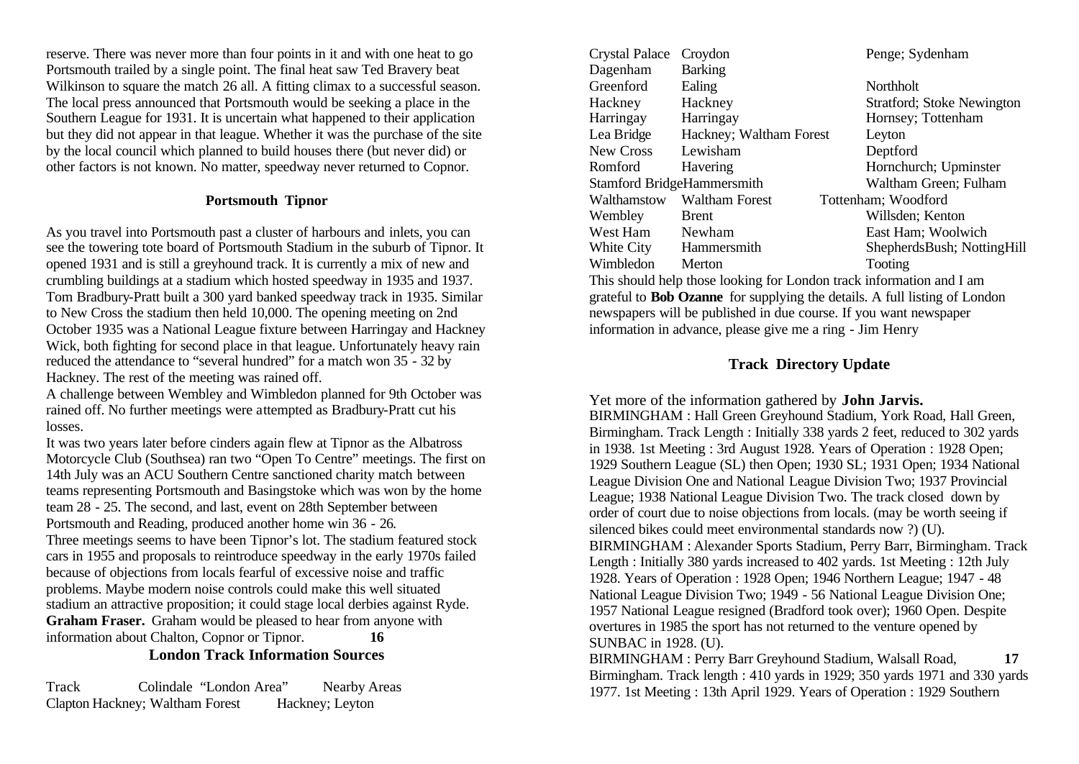reserve. There was never more than four points in it and with one heat to go Portsmouth trailed by a single point. The final heat saw Ted Bravery beat Wilkinson to square the match 26 all. A fitting climax to a successful season. The local press announced that Portsmouth would be seeking a place in the Southern League for 1931. It is uncertain what happened to their application but they did not appear in that league. Whether it was the purchase of the site by the local council which planned to build houses there (but never did) or other factors is not known. No matter, speedway never returned to Copnor.

#### **Portsmouth Tipnor**

As you travel into Portsmouth past a cluster of harbours and inlets, you can see the towering tote board of Portsmouth Stadium in the suburb of Tipnor. It opened 1931 and is still a greyhound track. It is currently a mix of new and crumbling buildings at a stadium which hosted speedway in 1935 and 1937. Tom Bradbury-Pratt built a 300 yard banked speedway track in 1935. Similar to New Cross the stadium then held 10,000. The opening meeting on 2nd October 1935 was a National League fixture between Harringay and Hackney Wick, both fighting for second place in that league. Unfortunately heavy rain reduced the attendance to "several hundred" for a match won 35 - 32 by Hackney. The rest of the meeting was rained off.

A challenge between Wembley and Wimbledon planned for 9th October was rained off. No further meetings were attempted as Bradbury-Pratt cut his losses.

It was two years later before cinders again flew at Tipnor as the Albatross Motorcycle Club (Southsea) ran two "Open To Centre" meetings. The first on 14th July was an ACU Southern Centre sanctioned charity match between teams representing Portsmouth and Basingstoke which was won by the home team 28 - 25. The second, and last, event on 28th September between Portsmouth and Reading, produced another home win 36 - 26. Three meetings seems to have been Tipnor's lot. The stadium featured stock cars in 1955 and proposals to reintroduce speedway in the early 1970s failed because of objections from locals fearful of excessive noise and traffic problems. Maybe modern noise controls could make this well situated stadium an attractive proposition; it could stage local derbies against Ryde. **Graham Fraser.** Graham would be pleased to hear from anyone with information about Chalton, Copnor or Tipnor. **16 London Track Information Sources**

Track Colindale "London Area" Nearby Areas Clapton Hackney; Waltham Forest Hackney; Leyton

| <b>Crystal Palace</b> | Croydon                    | Penge; Sydenham                    |
|-----------------------|----------------------------|------------------------------------|
| Dagenham              | <b>Barking</b>             |                                    |
| Greenford             | Ealing                     | Northholt                          |
| Hackney               | Hackney                    | <b>Stratford</b> ; Stoke Newington |
| Harringay             | Harringay                  | Hornsey; Tottenham                 |
| Lea Bridge            | Hackney; Waltham Forest    | Leyton                             |
| <b>New Cross</b>      | Lewisham                   | Deptford                           |
| Romford               | Havering                   | Hornchurch; Upminster              |
|                       | Stamford BridgeHammersmith | Waltham Green; Fulham              |
| Walthamstow           | Waltham Forest             | Tottenham; Woodford                |
| Wembley               | <b>Brent</b>               | Willsden; Kenton                   |
| West Ham              | Newham                     | East Ham; Woolwich                 |
| White City            | Hammersmith                | ShepherdsBush; NottingHill         |
| Wimbledon             | Merton                     | Tooting                            |

This should help those looking for London track information and I am grateful to **Bob Ozanne** for supplying the details. A full listing of London newspapers will be published in due course. If you want newspaper information in advance, please give me a ring - Jim Henry

#### **Track Directory Update**

Yet more of the information gathered by **John Jarvis.** BIRMINGHAM : Hall Green Greyhound Stadium, York Road, Hall Green, Birmingham. Track Length : Initially 338 yards 2 feet, reduced to 302 yards in 1938. 1st Meeting : 3rd August 1928. Years of Operation : 1928 Open; 1929 Southern League (SL) then Open; 1930 SL; 1931 Open; 1934 National League Division One and National League Division Two; 1937 Provincial League; 1938 National League Division Two. The track closed down by order of court due to noise objections from locals. (may be worth seeing if silenced bikes could meet environmental standards now ?) (U). BIRMINGHAM : Alexander Sports Stadium, Perry Barr, Birmingham. Track Length : Initially 380 yards increased to 402 yards. 1st Meeting : 12th July 1928. Years of Operation : 1928 Open; 1946 Northern League; 1947 - 48 National League Division Two; 1949 - 56 National League Division One; 1957 National League resigned (Bradford took over); 1960 Open. Despite overtures in 1985 the sport has not returned to the venture opened by SUNBAC in 1928. (U).

BIRMINGHAM : Perry Barr Greyhound Stadium, Walsall Road, **17**  Birmingham. Track length : 410 yards in 1929; 350 yards 1971 and 330 yards 1977. 1st Meeting : 13th April 1929. Years of Operation : 1929 Southern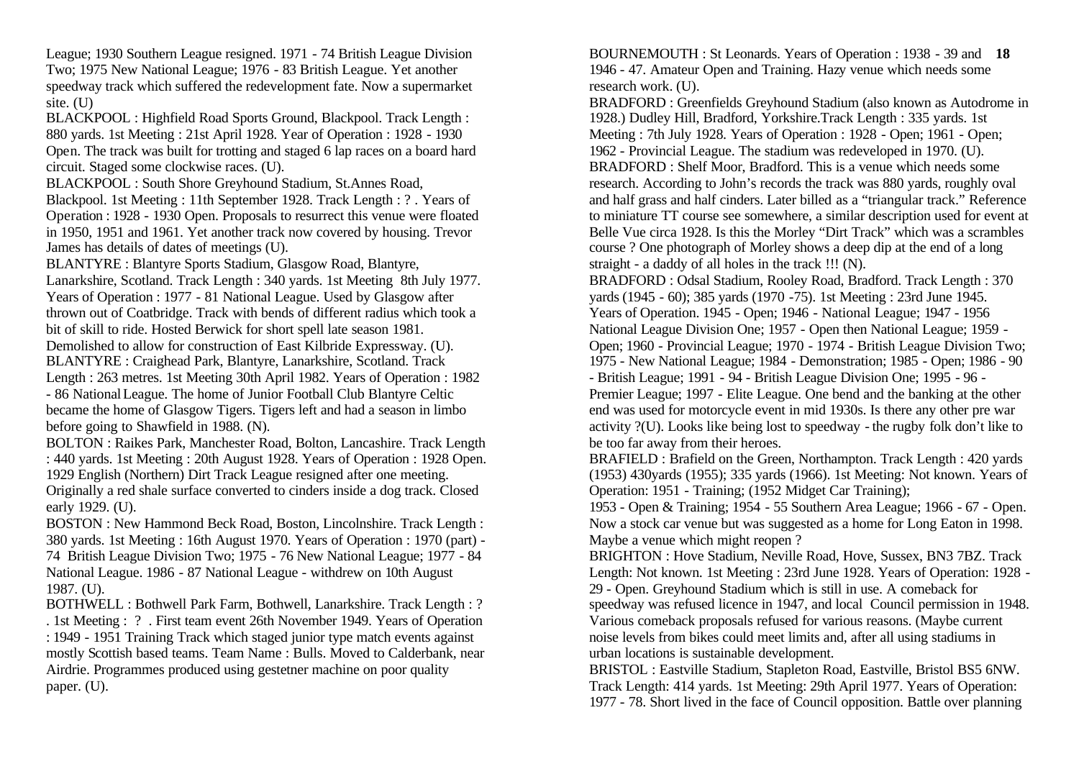League; 1930 Southern League resigned. 1971 - 74 British League Division Two; 1975 New National League; 1976 - 83 British League. Yet another speedway track which suffered the redevelopment fate. Now a supermarket site. (U)

BLACKPOOL : Highfield Road Sports Ground, Blackpool. Track Length : 880 yards. 1st Meeting : 21st April 1928. Year of Operation : 1928 - 1930 Open. The track was built for trotting and staged 6 lap races on a board hard circuit. Staged some clockwise races. (U).

BLACKPOOL : South Shore Greyhound Stadium, St.Annes Road,

Blackpool. 1st Meeting : 11th September 1928. Track Length : ? . Years of Operation : 1928 - 1930 Open. Proposals to resurrect this venue were floated in 1950, 1951 and 1961. Yet another track now covered by housing. Trevor James has details of dates of meetings (U).

BLANTYRE : Blantyre Sports Stadium, Glasgow Road, Blantyre,

Lanarkshire, Scotland. Track Length : 340 yards. 1st Meeting 8th July 1977. Years of Operation : 1977 - 81 National League. Used by Glasgow after thrown out of Coatbridge. Track with bends of different radius which took a bit of skill to ride. Hosted Berwick for short spell late season 1981.

Demolished to allow for construction of East Kilbride Expressway. (U). BLANTYRE : Craighead Park, Blantyre, Lanarkshire, Scotland. Track

Length : 263 metres. 1st Meeting 30th April 1982. Years of Operation : 1982 - 86 National League. The home of Junior Football Club Blantyre Celtic became the home of Glasgow Tigers. Tigers left and had a season in limbo before going to Shawfield in 1988. (N).

BOLTON : Raikes Park, Manchester Road, Bolton, Lancashire. Track Length : 440 yards. 1st Meeting : 20th August 1928. Years of Operation : 1928 Open. 1929 English (Northern) Dirt Track League resigned after one meeting. Originally a red shale surface converted to cinders inside a dog track. Closed early 1929. (U).

BOSTON : New Hammond Beck Road, Boston, Lincolnshire. Track Length : 380 yards. 1st Meeting : 16th August 1970. Years of Operation : 1970 (part) - 74 British League Division Two; 1975 - 76 New National League; 1977 - 84 National League. 1986 - 87 National League - withdrew on 10th August 1987. (U).

BOTHWELL : Bothwell Park Farm, Bothwell, Lanarkshire. Track Length : ? . 1st Meeting : ? . First team event 26th November 1949. Years of Operation : 1949 - 1951 Training Track which staged junior type match events against mostly Scottish based teams. Team Name : Bulls. Moved to Calderbank, near Airdrie. Programmes produced using gestetner machine on poor quality paper. (U).

BOURNEMOUTH : St Leonards. Years of Operation : 1938 - 39 and **18**  1946 - 47. Amateur Open and Training. Hazy venue which needs some research work. (U).

BRADFORD : Greenfields Greyhound Stadium (also known as Autodrome in 1928.) Dudley Hill, Bradford, Yorkshire.Track Length : 335 yards. 1st Meeting : 7th July 1928. Years of Operation : 1928 - Open; 1961 - Open; 1962 - Provincial League. The stadium was redeveloped in 1970. (U). BRADFORD : Shelf Moor, Bradford. This is a venue which needs some research. According to John's records the track was 880 yards, roughly oval and half grass and half cinders. Later billed as a "triangular track." Reference to miniature TT course see somewhere, a similar description used for event at Belle Vue circa 1928. Is this the Morley "Dirt Track" which was a scrambles course ? One photograph of Morley shows a deep dip at the end of a long straight - a daddy of all holes in the track !!! (N).

BRADFORD : Odsal Stadium, Rooley Road, Bradford. Track Length : 370 yards (1945 - 60); 385 yards (1970 -75). 1st Meeting : 23rd June 1945. Years of Operation. 1945 - Open; 1946 - National League; 1947 - 1956 National League Division One; 1957 - Open then National League; 1959 - Open; 1960 - Provincial League; 1970 - 1974 - British League Division Two; 1975 - New National League; 1984 - Demonstration; 1985 - Open; 1986 - 90 - British League; 1991 - 94 - British League Division One; 1995 - 96 - Premier League; 1997 - Elite League. One bend and the banking at the other end was used for motorcycle event in mid 1930s. Is there any other pre war activity ?(U). Looks like being lost to speedway - the rugby folk don't like to be too far away from their heroes.

BRAFIELD : Brafield on the Green, Northampton. Track Length : 420 yards (1953) 430yards (1955); 335 yards (1966). 1st Meeting: Not known. Years of Operation: 1951 - Training; (1952 Midget Car Training);

1953 - Open & Training; 1954 - 55 Southern Area League; 1966 - 67 - Open. Now a stock car venue but was suggested as a home for Long Eaton in 1998. Maybe a venue which might reopen ?

BRIGHTON : Hove Stadium, Neville Road, Hove, Sussex, BN3 7BZ. Track Length: Not known. 1st Meeting : 23rd June 1928. Years of Operation: 1928 - 29 - Open. Greyhound Stadium which is still in use. A comeback for

speedway was refused licence in 1947, and local Council permission in 1948. Various comeback proposals refused for various reasons. (Maybe current noise levels from bikes could meet limits and, after all using stadiums in urban locations is sustainable development.

BRISTOL : Eastville Stadium, Stapleton Road, Eastville, Bristol BS5 6NW. Track Length: 414 yards. 1st Meeting: 29th April 1977. Years of Operation: 1977 - 78. Short lived in the face of Council opposition. Battle over planning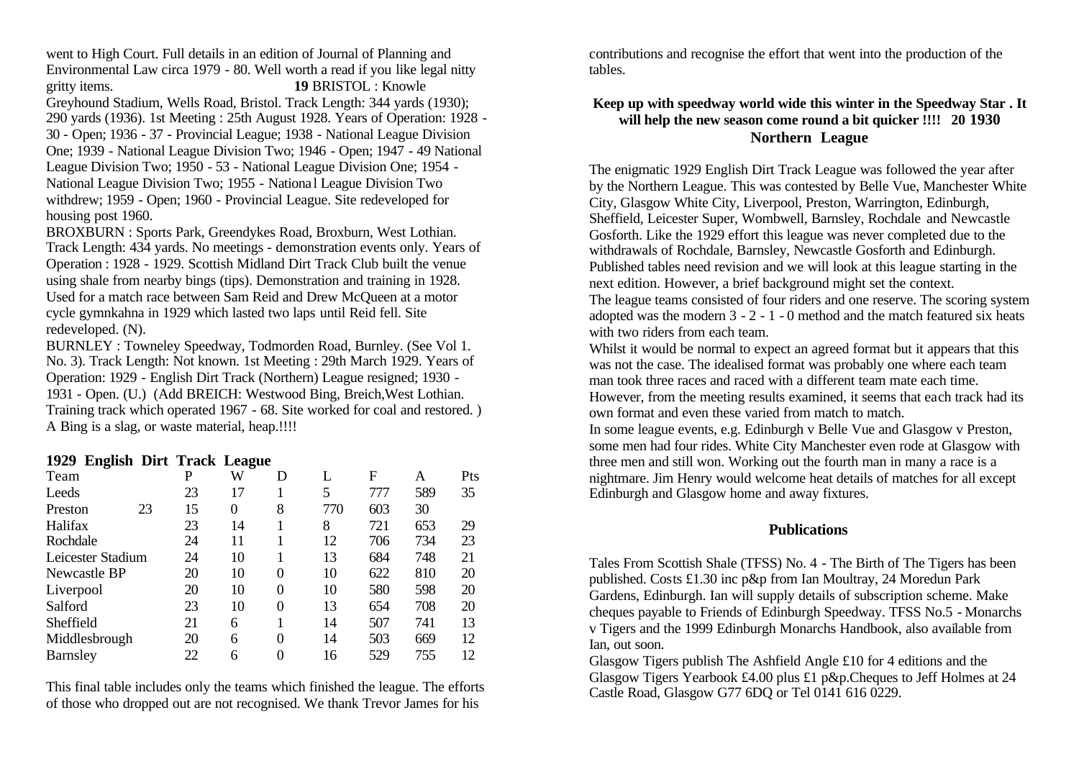went to High Court. Full details in an edition of Journal of Planning and Environmental Law circa 1979 - 80. Well worth a read if you like legal nitty gritty items. **19** BRISTOL : Knowle Greyhound Stadium, Wells Road, Bristol. Track Length: 344 yards (1930); 290 yards (1936). 1st Meeting : 25th August 1928. Years of Operation: 1928 - 30 - Open; 1936 - 37 - Provincial League; 1938 - National League Division One; 1939 - National League Division Two; 1946 - Open; 1947 - 49 National League Division Two; 1950 - 53 - National League Division One; 1954 - National League Division Two; 1955 - National League Division Two withdrew; 1959 - Open; 1960 - Provincial League. Site redeveloped for housing post 1960.

BROXBURN : Sports Park, Greendykes Road, Broxburn, West Lothian. Track Length: 434 yards. No meetings - demonstration events only. Years of Operation : 1928 - 1929. Scottish Midland Dirt Track Club built the venue using shale from nearby bings (tips). Demonstration and training in 1928. Used for a match race between Sam Reid and Drew McQueen at a motor cycle gymnkahna in 1929 which lasted two laps until Reid fell. Site redeveloped. (N).

BURNLEY : Towneley Speedway, Todmorden Road, Burnley. (See Vol 1. No. 3). Track Length: Not known. 1st Meeting : 29th March 1929. Years of Operation: 1929 - English Dirt Track (Northern) League resigned; 1930 - 1931 - Open. (U.) (Add BREICH: Westwood Bing, Breich,West Lothian. Training track which operated 1967 - 68. Site worked for coal and restored. ) A Bing is a slag, or waste material, heap.!!!!

#### **1929 English Dirt Track League**

|                   |    |    | - – – |   |     |     |     |     |
|-------------------|----|----|-------|---|-----|-----|-----|-----|
| Team              |    | P  | W     | D | L   | F   | A   | Pts |
| Leeds             |    | 23 | 17    |   | 5   | 777 | 589 | 35  |
| Preston           | 23 | 15 | 0     | 8 | 770 | 603 | 30  |     |
| Halifax           |    | 23 | 14    |   | 8   | 721 | 653 | 29  |
| Rochdale          |    | 24 | 11    |   | 12  | 706 | 734 | 23  |
| Leicester Stadium |    | 24 | 10    |   | 13  | 684 | 748 | 21  |
| Newcastle BP      |    | 20 | 10    | 0 | 10  | 622 | 810 | 20  |
| Liverpool         |    | 20 | 10    | 0 | 10  | 580 | 598 | 20  |
| Salford           |    | 23 | 10    | 0 | 13  | 654 | 708 | 20  |
| Sheffield         |    | 21 | 6     |   | 14  | 507 | 741 | 13  |
| Middlesbrough     |    | 20 | 6     | 0 | 14  | 503 | 669 | 12  |
| Barnsley          |    | 22 | 6     | 0 | 16  | 529 | 755 | 12  |
|                   |    |    |       |   |     |     |     |     |

This final table includes only the teams which finished the league. The efforts of those who dropped out are not recognised. We thank Trevor James for his

contributions and recognise the effort that went into the production of the tables.

### **Keep up with speedway world wide this winter in the Speedway Star . It will help the new season come round a bit quicker !!!! 20 1930 Northern League**

The enigmatic 1929 English Dirt Track League was followed the year after by the Northern League. This was contested by Belle Vue, Manchester White City, Glasgow White City, Liverpool, Preston, Warrington, Edinburgh, Sheffield, Leicester Super, Wombwell, Barnsley, Rochdale and Newcastle Gosforth. Like the 1929 effort this league was never completed due to the withdrawals of Rochdale, Barnsley, Newcastle Gosforth and Edinburgh. Published tables need revision and we will look at this league starting in the next edition. However, a brief background might set the context. The league teams consisted of four riders and one reserve. The scoring system adopted was the modern 3 - 2 - 1 - 0 method and the match featured six heats with two riders from each team.

Whilst it would be normal to expect an agreed format but it appears that this was not the case. The idealised format was probably one where each team man took three races and raced with a different team mate each time. However, from the meeting results examined, it seems that each track had its own format and even these varied from match to match.

In some league events, e.g. Edinburgh v Belle Vue and Glasgow v Preston, some men had four rides. White City Manchester even rode at Glasgow with three men and still won. Working out the fourth man in many a race is a nightmare. Jim Henry would welcome heat details of matches for all except Edinburgh and Glasgow home and away fixtures.

#### **Publications**

Tales From Scottish Shale (TFSS) No. 4 - The Birth of The Tigers has been published. Costs £1.30 inc p&p from Ian Moultray, 24 Moredun Park Gardens, Edinburgh. Ian will supply details of subscription scheme. Make cheques payable to Friends of Edinburgh Speedway. TFSS No.5 - Monarchs v Tigers and the 1999 Edinburgh Monarchs Handbook, also available from Ian, out soon.

Glasgow Tigers publish The Ashfield Angle £10 for 4 editions and the Glasgow Tigers Yearbook £4.00 plus £1 p&p.Cheques to Jeff Holmes at 24 Castle Road, Glasgow G77 6DQ or Tel 0141 616 0229.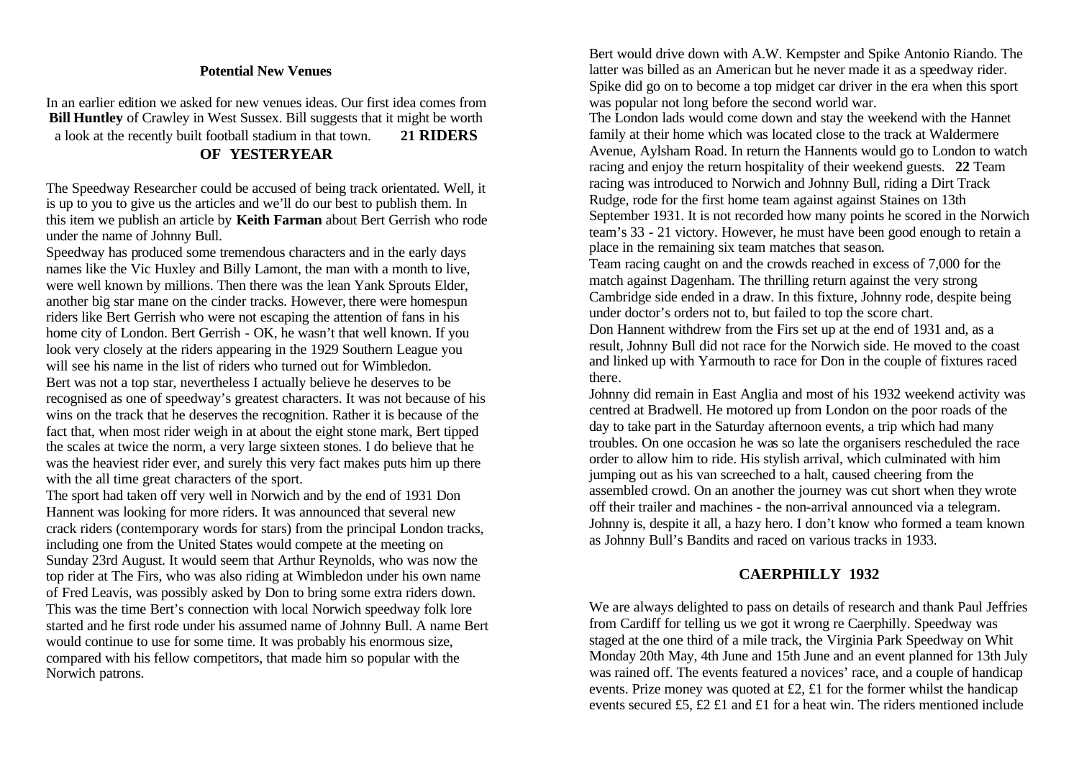#### **Potential New Venues**

In an earlier edition we asked for new venues ideas. Our first idea comes from **Bill Huntley** of Crawley in West Sussex. Bill suggests that it might be worth a look at the recently built football stadium in that town. **21 RIDERS OF YESTERYEAR**

The Speedway Researcher could be accused of being track orientated. Well, it is up to you to give us the articles and we'll do our best to publish them. In this item we publish an article by **Keith Farman** about Bert Gerrish who rode under the name of Johnny Bull.

Speedway has produced some tremendous characters and in the early days names like the Vic Huxley and Billy Lamont, the man with a month to live, were well known by millions. Then there was the lean Yank Sprouts Elder, another big star mane on the cinder tracks. However, there were homespun riders like Bert Gerrish who were not escaping the attention of fans in his home city of London. Bert Gerrish - OK, he wasn't that well known. If you look very closely at the riders appearing in the 1929 Southern League you will see his name in the list of riders who turned out for Wimbledon. Bert was not a top star, nevertheless I actually believe he deserves to be recognised as one of speedway's greatest characters. It was not because of his wins on the track that he deserves the recognition. Rather it is because of the fact that, when most rider weigh in at about the eight stone mark, Bert tipped the scales at twice the norm, a very large sixteen stones. I do believe that he was the heaviest rider ever, and surely this very fact makes puts him up there with the all time great characters of the sport.

The sport had taken off very well in Norwich and by the end of 1931 Don Hannent was looking for more riders. It was announced that several new crack riders (contemporary words for stars) from the principal London tracks, including one from the United States would compete at the meeting on Sunday 23rd August. It would seem that Arthur Reynolds, who was now the top rider at The Firs, who was also riding at Wimbledon under his own name of Fred Leavis, was possibly asked by Don to bring some extra riders down. This was the time Bert's connection with local Norwich speedway folk lore started and he first rode under his assumed name of Johnny Bull. A name Bert would continue to use for some time. It was probably his enormous size, compared with his fellow competitors, that made him so popular with the Norwich patrons.

Bert would drive down with A.W. Kempster and Spike Antonio Riando. The latter was billed as an American but he never made it as a speedway rider. Spike did go on to become a top midget car driver in the era when this sport was popular not long before the second world war.

The London lads would come down and stay the weekend with the Hannet family at their home which was located close to the track at Waldermere Avenue, Aylsham Road. In return the Hannents would go to London to watch racing and enjoy the return hospitality of their weekend guests. **22** Team racing was introduced to Norwich and Johnny Bull, riding a Dirt Track Rudge, rode for the first home team against against Staines on 13th September 1931. It is not recorded how many points he scored in the Norwich team's 33 - 21 victory. However, he must have been good enough to retain a place in the remaining six team matches that season.

Team racing caught on and the crowds reached in excess of 7,000 for the match against Dagenham. The thrilling return against the very strong Cambridge side ended in a draw. In this fixture, Johnny rode, despite being under doctor's orders not to, but failed to top the score chart.

Don Hannent withdrew from the Firs set up at the end of 1931 and, as a result, Johnny Bull did not race for the Norwich side. He moved to the coast and linked up with Yarmouth to race for Don in the couple of fixtures raced there.

Johnny did remain in East Anglia and most of his 1932 weekend activity was centred at Bradwell. He motored up from London on the poor roads of the day to take part in the Saturday afternoon events, a trip which had many troubles. On one occasion he was so late the organisers rescheduled the race order to allow him to ride. His stylish arrival, which culminated with him jumping out as his van screeched to a halt, caused cheering from the assembled crowd. On an another the journey was cut short when they wrote off their trailer and machines - the non-arrival announced via a telegram. Johnny is, despite it all, a hazy hero. I don't know who formed a team known as Johnny Bull's Bandits and raced on various tracks in 1933.

#### **CAERPHILLY 1932**

We are always delighted to pass on details of research and thank Paul Jeffries from Cardiff for telling us we got it wrong re Caerphilly. Speedway was staged at the one third of a mile track, the Virginia Park Speedway on Whit Monday 20th May, 4th June and 15th June and an event planned for 13th July was rained off. The events featured a novices' race, and a couple of handicap events. Prize money was quoted at £2, £1 for the former whilst the handicap events secured £5, £2  $\pounds$ 1 and  $\pounds$ 1 for a heat win. The riders mentioned include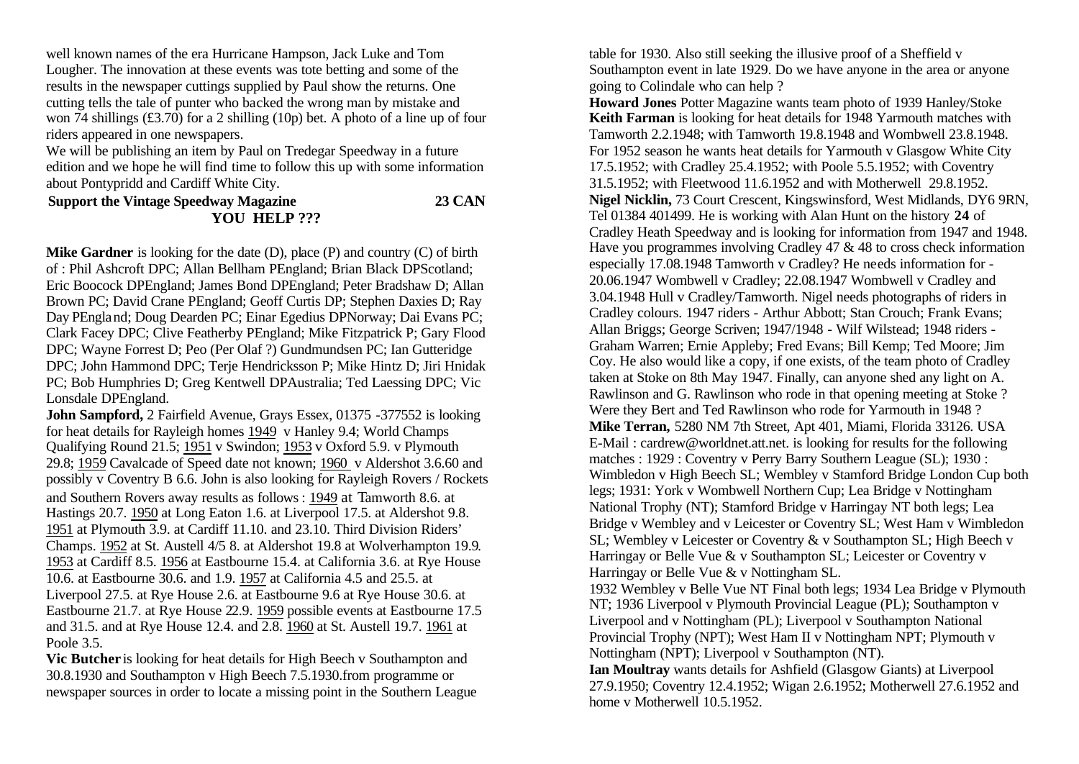well known names of the era Hurricane Hampson, Jack Luke and Tom Lougher. The innovation at these events was tote betting and some of the results in the newspaper cuttings supplied by Paul show the returns. One cutting tells the tale of punter who backed the wrong man by mistake and won 74 shillings (£3.70) for a 2 shilling (10p) bet. A photo of a line up of four riders appeared in one newspapers.

We will be publishing an item by Paul on Tredegar Speedway in a future edition and we hope he will find time to follow this up with some information about Pontypridd and Cardiff White City.

**Support the Vintage Speedway Magazine 23 CAN YOU HELP ???**

**Mike Gardner** is looking for the date (D), place (P) and country (C) of birth of : Phil Ashcroft DPC; Allan Bellham PEngland; Brian Black DPScotland; Eric Boocock DPEngland; James Bond DPEngland; Peter Bradshaw D; Allan Brown PC; David Crane PEngland; Geoff Curtis DP; Stephen Daxies D; Ray Day PEngland; Doug Dearden PC; Einar Egedius DPNorway; Dai Evans PC; Clark Facey DPC; Clive Featherby PEngland; Mike Fitzpatrick P; Gary Flood DPC; Wayne Forrest D; Peo (Per Olaf ?) Gundmundsen PC; Ian Gutteridge DPC; John Hammond DPC; Terje Hendricksson P; Mike Hintz D; Jiri Hnidak PC; Bob Humphries D; Greg Kentwell DPAustralia; Ted Laessing DPC; Vic Lonsdale DPEngland.

**John Sampford, 2 Fairfield Avenue, Grays Essex, 01375 -377552 is looking** for heat details for Rayleigh homes 1949 v Hanley 9.4; World Champs Qualifying Round 21.5; 1951 v Swindon; 1953 v Oxford 5.9. v Plymouth 29.8; 1959 Cavalcade of Speed date not known; 1960 v Aldershot 3.6.60 and possibly v Coventry B 6.6. John is also looking for Rayleigh Rovers / Rockets and Southern Rovers away results as follows : 1949 at Tamworth 8.6. at Hastings 20.7. 1950 at Long Eaton 1.6. at Liverpool 17.5. at Aldershot 9.8. 1951 at Plymouth 3.9. at Cardiff 11.10. and 23.10. Third Division Riders' Champs. 1952 at St. Austell 4/5 8. at Aldershot 19.8 at Wolverhampton 19.9. 1953 at Cardiff 8.5. 1956 at Eastbourne 15.4. at California 3.6. at Rye House 10.6. at Eastbourne 30.6. and 1.9. 1957 at California 4.5 and 25.5. at Liverpool 27.5. at Rye House 2.6. at Eastbourne 9.6 at Rye House 30.6. at Eastbourne 21.7. at Rye House 22.9. 1959 possible events at Eastbourne 17.5 and 31.5. and at Rye House 12.4. and 2.8. 1960 at St. Austell 19.7. 1961 at Poole 3.5.

**Vic Butcher** is looking for heat details for High Beech v Southampton and 30.8.1930 and Southampton v High Beech 7.5.1930.from programme or newspaper sources in order to locate a missing point in the Southern League table for 1930. Also still seeking the illusive proof of a Sheffield v Southampton event in late 1929. Do we have anyone in the area or anyone going to Colindale who can help ?

**Howard Jones** Potter Magazine wants team photo of 1939 Hanley/Stoke **Keith Farman** is looking for heat details for 1948 Yarmouth matches with Tamworth 2.2.1948; with Tamworth 19.8.1948 and Wombwell 23.8.1948. For 1952 season he wants heat details for Yarmouth v Glasgow White City 17.5.1952; with Cradley 25.4.1952; with Poole 5.5.1952; with Coventry 31.5.1952; with Fleetwood 11.6.1952 and with Motherwell 29.8.1952. **Nigel Nicklin,** 73 Court Crescent, Kingswinsford, West Midlands, DY6 9RN, Tel 01384 401499. He is working with Alan Hunt on the history **24** of Cradley Heath Speedway and is looking for information from 1947 and 1948. Have you programmes involving Cradley 47 & 48 to cross check information especially 17.08.1948 Tamworth v Cradley? He needs information for - 20.06.1947 Wombwell v Cradley; 22.08.1947 Wombwell v Cradley and 3.04.1948 Hull v Cradley/Tamworth. Nigel needs photographs of riders in Cradley colours. 1947 riders - Arthur Abbott; Stan Crouch; Frank Evans; Allan Briggs; George Scriven; 1947/1948 - Wilf Wilstead; 1948 riders - Graham Warren; Ernie Appleby; Fred Evans; Bill Kemp; Ted Moore; Jim Coy. He also would like a copy, if one exists, of the team photo of Cradley taken at Stoke on 8th May 1947. Finally, can anyone shed any light on A. Rawlinson and G. Rawlinson who rode in that opening meeting at Stoke ? Were they Bert and Ted Rawlinson who rode for Yarmouth in 1948 ? **Mike Terran,** 5280 NM 7th Street, Apt 401, Miami, Florida 33126. USA E-Mail : cardrew@worldnet.att.net. is looking for results for the following matches : 1929 : Coventry v Perry Barry Southern League (SL); 1930 : Wimbledon v High Beech SL; Wembley v Stamford Bridge London Cup both legs; 1931: York v Wombwell Northern Cup; Lea Bridge v Nottingham National Trophy (NT); Stamford Bridge v Harringay NT both legs; Lea Bridge v Wembley and v Leicester or Coventry SL; West Ham v Wimbledon SL; Wembley v Leicester or Coventry & v Southampton SL; High Beech v Harringay or Belle Vue & v Southampton SL; Leicester or Coventry v Harringay or Belle Vue & v Nottingham SL.

1932 Wembley v Belle Vue NT Final both legs; 1934 Lea Bridge v Plymouth NT; 1936 Liverpool v Plymouth Provincial League (PL); Southampton v Liverpool and v Nottingham (PL); Liverpool v Southampton National Provincial Trophy (NPT); West Ham II v Nottingham NPT; Plymouth v Nottingham (NPT); Liverpool v Southampton (NT).

**Ian Moultray** wants details for Ashfield (Glasgow Giants) at Liverpool 27.9.1950; Coventry 12.4.1952; Wigan 2.6.1952; Motherwell 27.6.1952 and home v Motherwell 10.5.1952.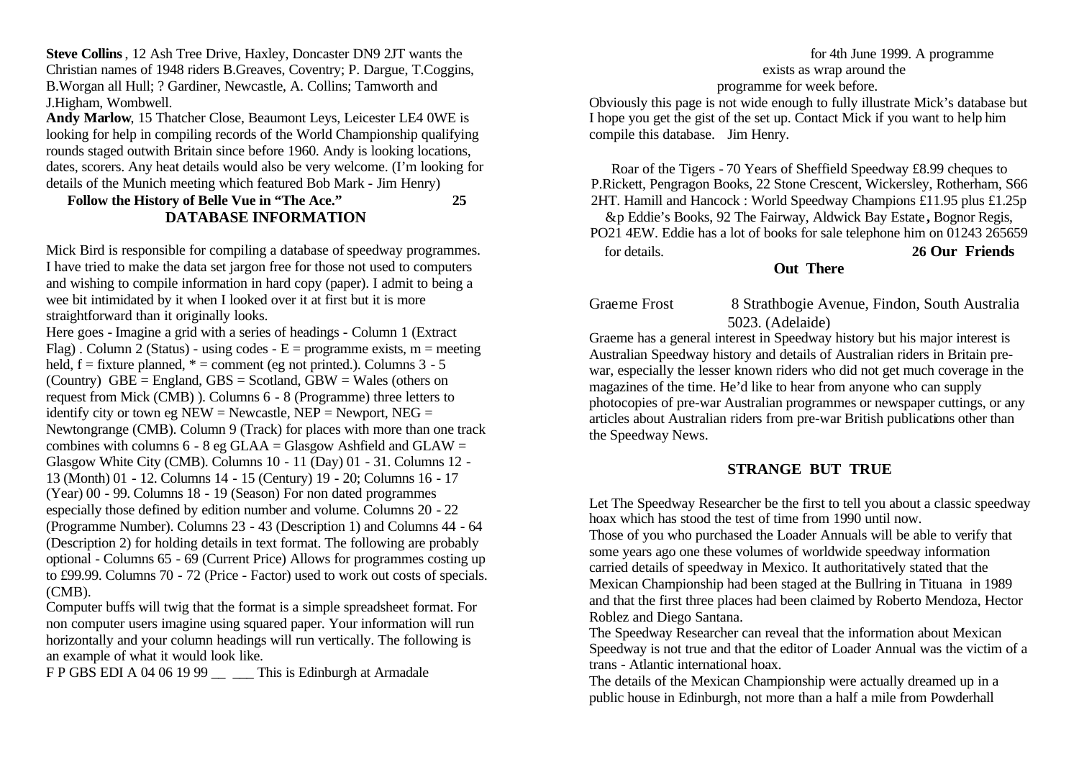**Steve Collins**, 12 Ash Tree Drive, Haxley, Doncaster DN9 2JT wants the Christian names of 1948 riders B.Greaves, Coventry; P. Dargue, T.Coggins, B.Worgan all Hull; ? Gardiner, Newcastle, A. Collins; Tamworth and J.Higham, Wombwell.

**Andy Marlow**, 15 Thatcher Close, Beaumont Leys, Leicester LE4 0WE is looking for help in compiling records of the World Championship qualifying rounds staged outwith Britain since before 1960. Andy is looking locations, dates, scorers. Any heat details would also be very welcome. (I'm looking for details of the Munich meeting which featured Bob Mark - Jim Henry)

## **Follow the History of Belle Vue in "The Ace." 25 DATABASE INFORMATION**

Mick Bird is responsible for compiling a database of speedway programmes. I have tried to make the data set jargon free for those not used to computers and wishing to compile information in hard copy (paper). I admit to being a wee bit intimidated by it when I looked over it at first but it is more straightforward than it originally looks.

Here goes - Imagine a grid with a series of headings - Column 1 (Extract Flag). Column 2 (Status) - using codes -  $E =$  programme exists, m = meeting held,  $f =$  fixture planned,  $* =$  comment (eg not printed.). Columns 3 - 5 (Country)  $GBE = England$ ,  $GBS = Scotland$ ,  $GBW = Wales$  (others on request from Mick (CMB) ). Columns 6 - 8 (Programme) three letters to identify city or town eg  $NEW = Newcastle$ ,  $NEP = Newport$ ,  $NEG =$ Newtongrange (CMB). Column 9 (Track) for places with more than one track combines with columns  $6 - 8$  eg GLAA = Glasgow Ashfield and GLAW = Glasgow White City (CMB). Columns 10 - 11 (Day) 01 - 31. Columns 12 - 13 (Month) 01 - 12. Columns 14 - 15 (Century) 19 - 20; Columns 16 - 17 (Year) 00 - 99. Columns 18 - 19 (Season) For non dated programmes especially those defined by edition number and volume. Columns 20 - 22 (Programme Number). Columns 23 - 43 (Description 1) and Columns 44 - 64 (Description 2) for holding details in text format. The following are probably optional - Columns 65 - 69 (Current Price) Allows for programmes costing up to £99.99. Columns 70 - 72 (Price - Factor) used to work out costs of specials. (CMB).

Computer buffs will twig that the format is a simple spreadsheet format. For non computer users imagine using squared paper. Your information will run horizontally and your column headings will run vertically. The following is an example of what it would look like.

F P GBS EDI A 04 06 19 99 This is Edinburgh at Armadale

#### for 4th June 1999. A programme exists as wrap around the programme for week before.

Obviously this page is not wide enough to fully illustrate Mick's database but I hope you get the gist of the set up. Contact Mick if you want to help him compile this database. Jim Henry.

Roar of the Tigers - 70 Years of Sheffield Speedway £8.99 cheques to P.Rickett, Pengragon Books, 22 Stone Crescent, Wickersley, Rotherham, S66 2HT. Hamill and Hancock : World Speedway Champions £11.95 plus £1.25p

&p Eddie's Books, 92 The Fairway, Aldwick Bay Estate **,** Bognor Regis, PO21 4EW. Eddie has a lot of books for sale telephone him on 01243 265659 for details. **26 Our Friends** 

## **Out There**

Graeme Frost 8 Strathbogie Avenue, Findon, South Australia 5023. (Adelaide)

Graeme has a general interest in Speedway history but his major interest is Australian Speedway history and details of Australian riders in Britain prewar, especially the lesser known riders who did not get much coverage in the magazines of the time. He'd like to hear from anyone who can supply photocopies of pre-war Australian programmes or newspaper cuttings, or any articles about Australian riders from pre-war British publications other than the Speedway News.

## **STRANGE BUT TRUE**

Let The Speedway Researcher be the first to tell you about a classic speedway hoax which has stood the test of time from 1990 until now.

Those of you who purchased the Loader Annuals will be able to verify that some years ago one these volumes of worldwide speedway information carried details of speedway in Mexico. It authoritatively stated that the Mexican Championship had been staged at the Bullring in Tituana in 1989 and that the first three places had been claimed by Roberto Mendoza, Hector Roblez and Diego Santana.

The Speedway Researcher can reveal that the information about Mexican Speedway is not true and that the editor of Loader Annual was the victim of a trans - Atlantic international hoax.

The details of the Mexican Championship were actually dreamed up in a public house in Edinburgh, not more than a half a mile from Powderhall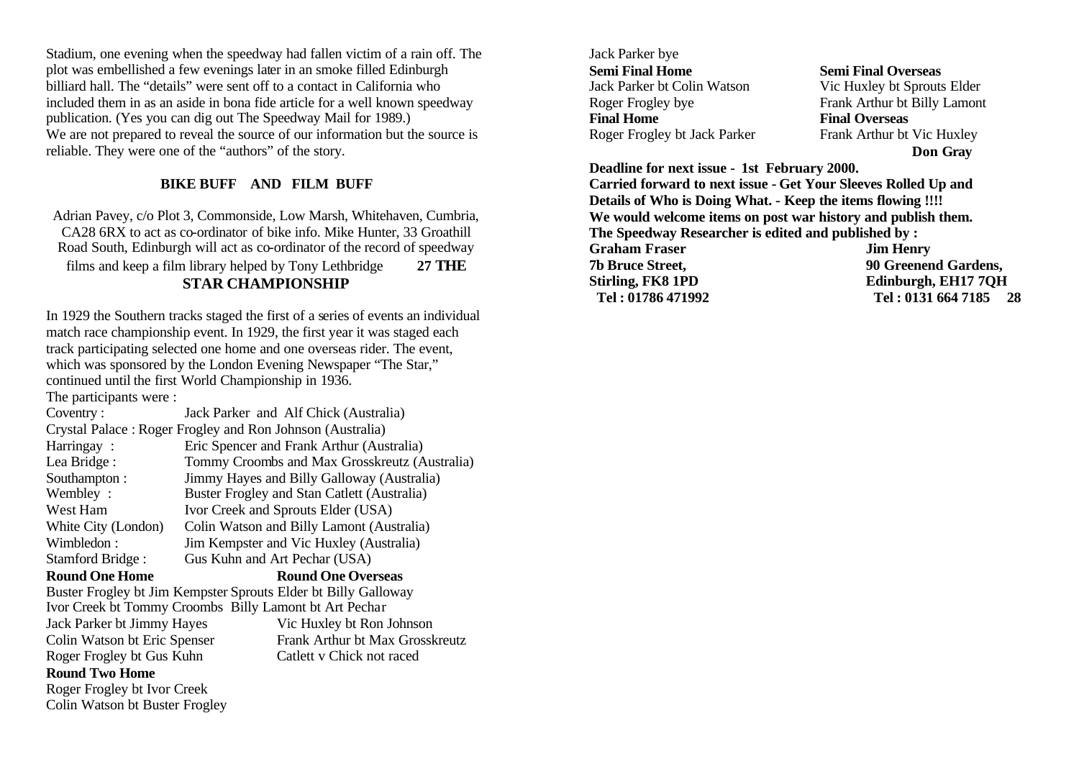Stadium, one evening when the speedway had fallen victim of a rain off. The plot was embellished a few evenings later in an smoke filled Edinburgh billiard hall. The "details" were sent off to a contact in California who included them in as an aside in bona fide article for a well known speedway publication. (Yes you can dig out The Speedway Mail for 1989.) We are not prepared to reveal the source of our information but the source is reliable. They were one of the "authors" of the story.

## **BIKE BUFF AND FILM BUFF**

Adrian Pavey, c/o Plot 3, Commonside, Low Marsh, Whitehaven, Cumbria, CA28 6RX to act as co-ordinator of bike info. Mike Hunter, 33 Groathill Road South, Edinburgh will act as co-ordinator of the record of speedway films and keep a film library helped by Tony Lethbridge **27 THE STAR CHAMPIONSHIP** 

In 1929 the Southern tracks staged the first of a series of events an individual match race championship event. In 1929, the first year it was staged each track participating selected one home and one overseas rider. The event, which was sponsored by the London Evening Newspaper "The Star," continued until the first World Championship in 1936. The participants were :

Coventry : Jack Parker and Alf Chick (Australia) Crystal Palace : Roger Frogley and Ron Johnson (Australia) Harringay : Eric Spencer and Frank Arthur (Australia) Lea Bridge : Tommy Croombs and Max Grosskreutz (Australia) Southampton : Jimmy Hayes and Billy Galloway (Australia) Wembley : Buster Frogley and Stan Catlett (Australia) West Ham Ivor Creek and Sprouts Elder (USA) White City (London) Colin Watson and Billy Lamont (Australia) Wimbledon : Jim Kempster and Vic Huxley (Australia) Stamford Bridge : Gus Kuhn and Art Pechar (USA)

#### **Round One Home Round One Overseas**

Buster Frogley bt Jim Kempster Sprouts Elder bt Billy Galloway Ivor Creek bt Tommy Croombs Billy Lamont bt Art Pechar Jack Parker bt Jimmy Hayes Vic Huxley bt Ron Johnson Colin Watson bt Eric Spenser Frank Arthur bt Max Grosskreutz Roger Frogley bt Gus Kuhn Catlett v Chick not raced

## **Round Two Home**

Roger Frogley bt Ivor Creek Colin Watson bt Buster Frogley Jack Parker bye **Semi Final Home Semi Final Overseas** Jack Parker bt Colin Watson Vic Huxley bt Sprouts Elder Roger Frogley bye Frank Arthur bt Billy Lamont **Final Home Final Overseas** Roger Frogley bt Jack Parker Frank Arthur bt Vic Huxley

**Don Gray**

**Deadline for next issue - 1st February 2000.** 

**Carried forward to next issue - Get Your Sleeves Rolled Up and Details of Who is Doing What. - Keep the items flowing !!!! We would welcome items on post war history and publish them. The Speedway Researcher is edited and published by : Graham Fraser Jim Henry 7b Bruce Street, 90 Greenend Gardens, Stirling, FK8 1PD Edinburgh, EH17 7QH Tel : 01786 471992 Tel : 0131 664 7185 28**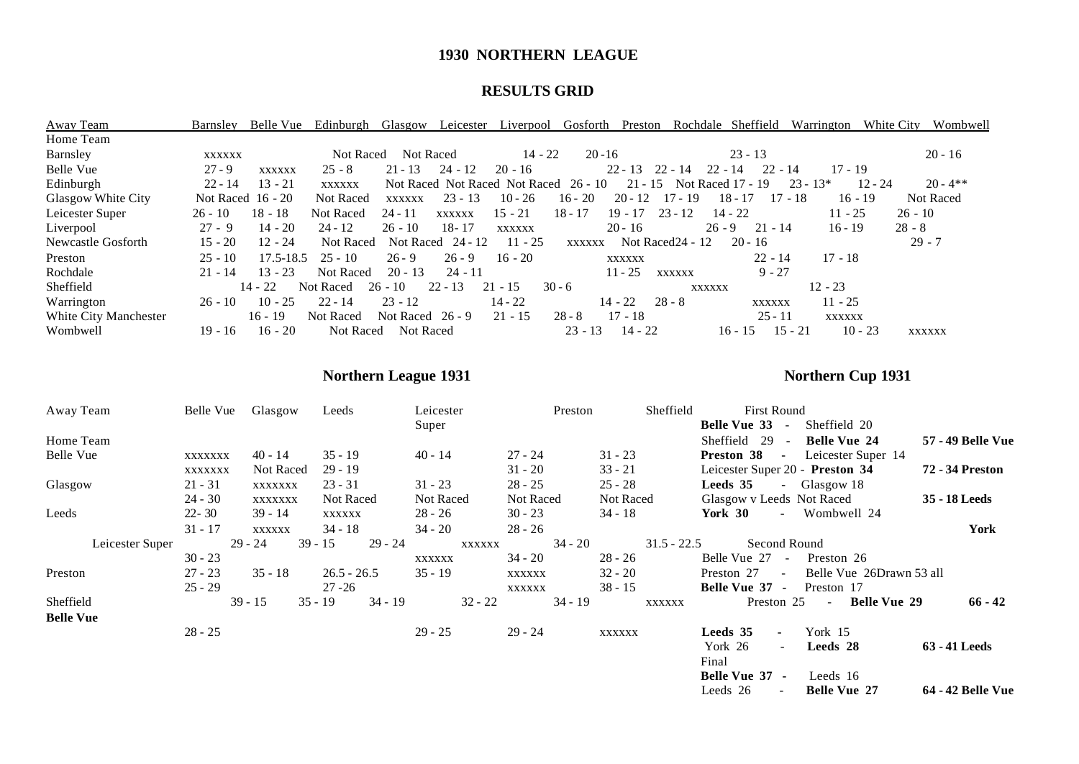## **1930 NORTHERN LEAGUE**

## **RESULTS GRID**

| Away Team             | Barnsley            | Belle Vue     | Edinburgh        | <b>Glasgow</b>     | Leicester     | Liverpool                             | Gosforth      | Preston             | Rochdale          | Sheffield                | Warrington             | White City | Wombwell      |
|-----------------------|---------------------|---------------|------------------|--------------------|---------------|---------------------------------------|---------------|---------------------|-------------------|--------------------------|------------------------|------------|---------------|
| Home Team             |                     |               |                  |                    |               |                                       |               |                     |                   |                          |                        |            |               |
| Barnsley              | <b>XXXXXX</b>       |               | Not Raced        | Not Raced          |               | $14 - 22$                             | $20 - 16$     |                     |                   | $23 - 13$                |                        |            | $20 - 16$     |
| Belle Vue             | $27 - 9$            | <b>XXXXXX</b> | $25 - 8$         | $21 - 13$          | $24 - 12$     | $20 - 16$                             |               | $22 - 13$ $22 - 14$ |                   | $22 - 14$                | $22 - 14$<br>$17 - 19$ |            |               |
| Edinburgh             | $22 - 14$           | $13 - 21$     | <b>XXXXXX</b>    |                    |               | Not Raced Not Raced Not Raced 26 - 10 |               | $21 - 15$           |                   | <b>Not Raced 17 - 19</b> | $23 - 13*$             | $12 - 24$  | $20 - 4**$    |
| Glasgow White City    | Not Raced $16 - 20$ |               | Not Raced        | <b>XXXXXX</b>      | $23 - 13$     | $10 - 26$                             | $16 - 20$     | $20 - 12$           | $17 - 19$         | $18 - 17$                | $17 - 18$              | $16 - 19$  | Not Raced     |
| Leicester Super       | $26 - 10$           | $18 - 18$     | <b>Not Raced</b> | $24 - 11$          | <b>XXXXXX</b> | $15 - 21$                             | $18 - 17$     | $19 - 17$           | $23 - 12$         | $14 - 22$                | $11 - 25$              |            | $26 - 10$     |
| Liverpool             | $27 - 9$            | $14 - 20$     | $24 - 12$        | $26 - 10$          | $18 - 17$     | XXXXXX                                |               | $20 - 16$           |                   | $26 - 9$<br>$21 - 14$    | $16 - 19$              |            | $28 - 8$      |
| Newcastle Gosforth    | $15 - 20$           | $12 - 24$     | Not Raced        | Not Raced          | 24 - 12       | $11 - 25$                             | <b>XXXXXX</b> |                     | Not Raced 24 - 12 | $20 - 16$                |                        |            | $29 - 7$      |
| Preston               | $25 - 10$           | 17.5-18.5     | $25 - 10$        | $26 - 9$           | $26 - 9$      | $16 - 20$                             |               | <b>XXXXXX</b>       |                   | $22 - 14$                | $17 - 18$              |            |               |
| Rochdale              | $21 - 14$           | $13 - 23$     | <b>Not Raced</b> | $20 - 13$          | $24 - 11$     |                                       |               | $11 - 25$           | <b>XXXXXX</b>     | $9 - 27$                 |                        |            |               |
| Sheffield             |                     | $14 - 22$     | Not Raced        | $26 - 10$          | $22 - 13$     | $21 - 15$                             | $30 - 6$      |                     | <b>XXXXXX</b>     |                          | $12 - 23$              |            |               |
| Warrington            | $26 - 10$           | $10 - 25$     | $22 - 14$        | $23 - 12$          |               | $14 - 22$                             |               | $14 - 22$           | $28 - 8$          | <b>XXXXXX</b>            | $11 - 25$              |            |               |
| White City Manchester |                     | $16 - 19$     | Not Raced        | Not Raced $26 - 9$ |               | $21 - 15$                             | $28 - 8$      | $17 - 18$           |                   | $25 - 11$                | XXXXXX                 |            |               |
| Wombwell              | 19 - 16             | $16 - 20$     | Not Raced        | Not Raced          |               |                                       | $23 - 13$     | $14 - 22$           |                   | $16 - 15$                | $15 - 21$              | $10 - 23$  | <b>XXXXXX</b> |

# **Northern League 1931 Northern Cup 1931**

| Away Team        | Belle Vue |           | Glasgow   |         | Leeds         |           | Leicester<br>Preston |                        |           | Sheffield | <b>First Round</b> |               |                                 |            |              |                                   |                          |
|------------------|-----------|-----------|-----------|---------|---------------|-----------|----------------------|------------------------|-----------|-----------|--------------------|---------------|---------------------------------|------------|--------------|-----------------------------------|--------------------------|
|                  |           |           |           |         |               |           | Super                |                        |           |           |                    |               | Belle Vue 33 -                  |            |              | Sheffield 20                      |                          |
| Home Team        |           |           |           |         |               |           |                      |                        |           |           |                    |               | Sheffield 29                    |            | $\sim 100$   | <b>Belle Vue 24</b>               | <b>57 - 49 Belle Vue</b> |
| Belle Vue        | XXXXXXX   |           | 40 - 14   |         | $35 - 19$     |           | $40 - 14$            |                        | 27 - 24   |           | $31 - 23$          |               | Preston 38 -                    |            |              | Leicester Super 14                |                          |
|                  | XXXXXXX   |           | Not Raced |         | $29 - 19$     |           |                      |                        | $31 - 20$ |           | $33 - 21$          |               | Leicester Super 20 - Preston 34 |            |              |                                   | <b>72 - 34 Preston</b>   |
| Glasgow          | $21 - 31$ |           | XXXXXXX   |         | $23 - 31$     |           |                      | $28 - 25$<br>$31 - 23$ |           |           | $25 - 28$          |               | <b>Leeds 35</b>                 |            | - Glasgow 18 |                                   |                          |
|                  | $24 - 30$ |           | XXXXXXX   |         | Not Raced     |           | Not Raced            |                        | Not Raced |           | Not Raced          |               | Glasgow v Leeds Not Raced       |            |              |                                   | 35 - 18 Leeds            |
| Leeds            | $22 - 30$ |           | $39 - 14$ |         | XXXXXX        |           | $28 - 26$            |                        | $30 - 23$ |           | $34 - 18$          |               | York 30                         |            |              | - Wombwell 24                     |                          |
|                  | $31 - 17$ |           | XXXXXX    |         | $34 - 18$     |           | $34 - 20$            |                        | $28 - 26$ |           |                    |               |                                 |            |              |                                   | York                     |
| Leicester Super  |           | $29 - 24$ |           | 39 - 15 |               | 29 - 24   |                      | XXXXXX                 |           | 34 - 20   |                    | $31.5 - 22.5$ |                                 |            | Second Round |                                   |                          |
|                  | $30 - 23$ |           |           |         |               |           | XXXXXX               |                        | $34 - 20$ |           | $28 - 26$          |               | Belle Vue 27 -                  |            |              | Preston 26                        |                          |
| Preston          | $27 - 23$ |           | $35 - 18$ |         | $26.5 - 26.5$ |           | $35 - 19$            |                        | XXXXXX    |           | $32 - 20$          |               | Preston 27 -                    |            |              | Belle Vue 26Drawn 53 all          |                          |
|                  | $25 - 29$ |           |           |         | $27 - 26$     |           |                      |                        | XXXXXX    |           | $38 - 15$          |               | Belle Vue 37 -                  |            |              | Preston 17                        |                          |
| Sheffield        |           |           | $39 - 15$ |         | $35 - 19$     | $34 - 19$ |                      | $32 - 22$              |           | $34 - 19$ |                    | XXXXXX        |                                 | Preston 25 |              | <b>Belle Vue 29</b><br>$\sim$ $-$ | $66 - 42$                |
| <b>Belle Vue</b> |           |           |           |         |               |           |                      |                        |           |           |                    |               |                                 |            |              |                                   |                          |
|                  | $28 - 25$ |           |           |         |               |           | $29 - 25$            |                        | $29 - 24$ |           | XXXXXX             |               | <b>Leeds</b> 35                 | $\sim$     | York 15      |                                   |                          |
|                  |           |           |           |         |               |           |                      |                        |           |           |                    |               | York 26                         | $\sim$ .   |              | Leeds 28                          | 63 - 41 Leeds            |
|                  |           |           |           |         |               |           |                      |                        |           |           |                    |               | Final                           |            |              |                                   |                          |
|                  |           |           |           |         |               |           |                      |                        |           |           |                    |               | Belle Vue 37 -                  |            |              | Leeds 16                          |                          |
|                  |           |           |           |         |               |           |                      |                        |           |           |                    |               | Leeds 26                        | $\sim$     |              | <b>Belle Vue 27</b>               | <b>64 - 42 Belle Vue</b> |